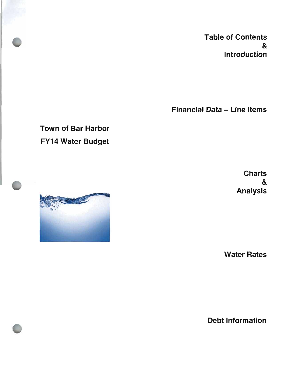Table of Contents & Introduction

Financial Data — Line Items

### Town of Bar Harbor FY14 Water Budget

**Charts**  $\boldsymbol{\alpha}$ Analysis

Water Rates

Debt Information

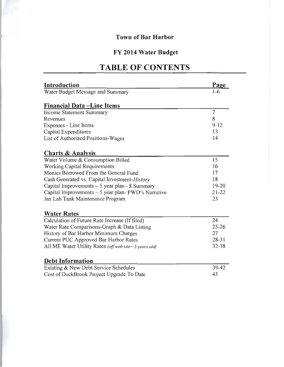### FY 2014 Water Budget

### TABLE OF CONTENTS

| <b>Introduction</b>                                   | Page           |
|-------------------------------------------------------|----------------|
| Water Budget Message and Summary                      | $1-6$          |
|                                                       |                |
| <b>Financial Data – Line Items</b>                    |                |
| <b>Income Statement Summary</b>                       | $\overline{7}$ |
| Revenues                                              | 8              |
| Expenses - Line Items                                 | $9 - 12$       |
| Capital Expenditures                                  | 13             |
| List of Authorized Positions-Wages                    | 14             |
| <b>Charts &amp; Analysis</b>                          |                |
| Water Volume & Consumption Billed                     | 15             |
| <b>Working Capital Requirements</b>                   | 16             |
| Monies Borrowed From the General Fund                 | 17             |
| Cash Generated vs. Capital Investment-History         | 18             |
| Capital Improvements - 5 year plan - \$ Summary       | $19 - 20$      |
| Capital Improvements - 5 year plan-PWD's Narrative    | $21 - 22$      |
| Jax Lab Tank Maintenance Program                      | 23             |
| <b>Water Rates</b>                                    |                |
| Calculation of Future Rate Increase (If filed)        | 24             |
| Water Rate Comparisons-Graph & Data Listing           | $25 - 26$      |
| History of Bar Harbor Minimum Charges                 | 27             |
| Current PUC Approved Bar Harbor Rates                 | $28 - 31$      |
| All ME Water Utility Rates (off web site-5 years old) | $32 - 38$      |
| <b>Debt Information</b>                               |                |
| Existing & New Debt Service Schedules                 | 39-42          |
| Cost of DuckBrook Project Upgrade To Date             | 43             |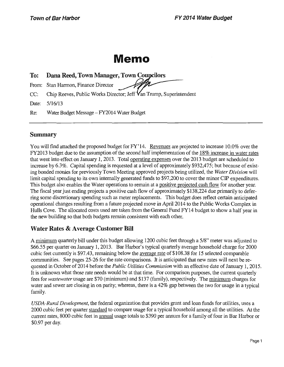### Memo

### To: Dana Reed, Town Manager, Town Councilors

From: Stan Harmon, Finance Director

CC: Chip Reeves, Public Works Director; Jeff Van Trump, Superintendent

Date: 5/16/13

Re: Water Budget Message—FY2014 Water Budget

### Summary

You will find attached the proposed budget for FY' 14. Revenues are projected to increase 10.0% over the FY2013 budget due to the assumption of the second half implementation of the 18% increase in water rates that went into effect on January 1, 2013. Total operating expenses over the 2013 budget are scheduled to increase by 6.3%. Capital spending is requested at a level of approximately \$932,475; but because of existing bonded monies for previously Town Meeting approved projects being utilized, the Water Division will limit capital spending to its own internally generated funds to \$97,200 to cover the minor CIP expenditures. This budget also enables the Water operations to remain at a positive projected cash flow for another year. The fiscal year just ending projects a positive cash flow of approximately \$138,224 due primarily to deferring some discretionary spending such as meter replacements. This budget does reflect certain anticipated operational changes resulting from a future projected move in April 2014 to the Public Works Complex in Hulls Cove. The allocated costs used are taken from the General Fund FY14 budget to show a half year in the new building so that both budgets remain consistent with each other.

### Water Rates & Average Customer Bill

A minimum quarterly bill under this budget allowing 1200 cubic feet through a 5/8" meter was adjusted to \$66.55 per quarter on January 1, 2013. Bar Harbor's typical quarterly average household charge for 2000 cubic feet currently is\$ 97.43, remaining below the average rate of\$ 108. 38 for 15 selected comparable communities. See pages 25-26 for the rate comparisons. It is anticipated that new rates will next be requested in October of 2014 before the *Public Utilities Commission* with an effective date of January 1, 2015. It is unknown what those rate needs would be at that time. For comparison purposes, the current quarterly fees for wastewater usage are\$ 70( minimum) and\$ 137( family), respectively. The minimum charges for water and sewer are closing in on parity; whereas, there is <sup>a</sup> 42% gap between the two for usage in <sup>a</sup> typical family.

USDA-Rural Development, the federal organization that provides grant and loan funds for utilities, uses a 2000 cubic feet per quarter standard to compare usage for <sup>a</sup> typical household among all the utilities. At the current rates, 8000 cubic feet in annual usage totals to \$390 per annum for a family of four in Bar Harbor or 0.97 per day.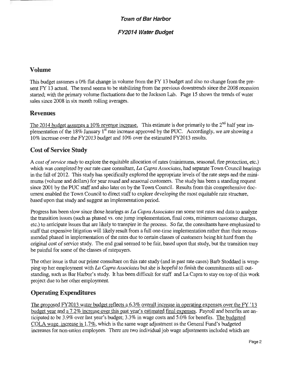### FY2014 Water Budget

### Volume

This budget assumes <sup>a</sup> 0% flat change in volume from the FY <sup>13</sup> budget and also no change from the present FY 13 actual. The trend seems to be stabilizing from the previous downtrends since the 2008 recession started; with the primary volume fluctuations due to the Jackson Lab. Page <sup>15</sup> shows the trends of water sales since 2008 in six month rolling averages.

### Revenues

The 2014 budget assumes a 10% revenue increase. This estimate is due primarily to the 2<sup>nd</sup> half year implementation of the 18% January 1<sup>st</sup> rate increase approved by the PUC. Accordingly, we are showing a plementation of the 18% January 1<sup>st</sup> rate increase approved by the PUC. Accordingly, we are showing a 10% increase over the FY2013 budget and 10% over the estimated FY2013 results.

### Cost of Service Study

A cost of service study to explore the equitable allocation of rates (minimums, seasonal, fire protection, etc.) which was completed by our rate case consultant, La Capra Associates, had separate Town Council hearings in the fall of 2012. This study has specifically explored the appropriate levels of the rate steps and the minimums( volume and dollars) for year round and seasonal customers. The study has been a standing request since 2001 by the PUC staff and also later on by the Town Council. Results from this comprehensive doc ument enabled the Town Council to direct staff to explore developing the most equitable rate structure, based upon that study and suggest an implementation period.

Progress has been slow since those hearings as *La Capra Associates* ran some test rates and data to analyze the transition issues( such as phased vs. one jump implementation, final costs, minimum customer charges, etc.) to anticipate issues that are likely to transpire in the process. So far, the consultants have emphasized to staff that expensive litigation will likely result from <sup>a</sup> full one-time implementation rather than their recommended phased in implementation of the rates due to certain classes of customers being hit hard from the original cost of service study. The end goal seemed to be fair, based upon that study, but the transition may be painful for some of the classes of ratepayers.

The other issue is that our prime consultant on this rate study( and in past rate cases) Barb Stoddard is wrapping up her employment with La Capra Associates but she is hopeful to finish the commitments still outstanding, such as Bar Harbor's study. It has been difficult for staff and La Capra to stay on top of this work project due to her other employment.

### Operating Expenditures

The proposed FY2013 water budget reflects a 6.3% overall increase in operating expenses over the FY '13 budget year and a 7.2% increase over this past year's estimated final expenses. Payroll and benefits are anticipated to be 3.9% over last year's budget; 3.3% in wage costs and 5.0% for benefits. The budgeted COLA wage increase is 1.7%, which is the same wage adjustment as the General Fund's budgeted increases for non-union employees. There are two individual job wage adjustments included which are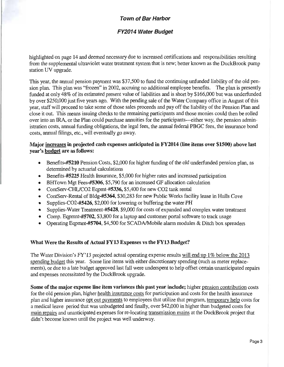### FY2014 Water Budget

highlighted on page 14 and deemed necessary due to increased certifications and responsibilities resulting from the supplemental ultraviolet water treatment system that is new; better known as the DuckBrook pump station UV upgrade.

This year, the annual pension payment was \$37,500 to fund the continuing unfunded liability of the old pension plan. This plan was "frozen" in 2002, accruing no additional employee benefits. The plan is presently funded at only 48% of its estimated present value of liabilities and is short by \$166,000 but was underfunded by over\$ 250,000 just five years ago. With the pending sale of the Water Company office in August of this year, staff will proceed to take some of those sales proceeds and pay off the liability of the Pension Plan and close it out. This means issuing checks to the remaining participants and those monies could then be rolled over into an IRA, or the Plan could purchase annuities for the participants---either way, the pension administration costs, annual funding obligations, the legal fees, the annual federal PBGC fees, the insurance bond costs, annual filings, etc., will eventually go away.

### Major increases in projected cash expenses anticipated in FY2014 (line items over \$1500) above last year's budget are as follows:

- Benefits-#5210 Pension Costs, \$2,000 for higher funding of the old underfunded pension plan, as  $\bullet$ determined by actuarial calculations
- Benefits-#5225 Health Insurance,\$ 5,000 for higher rates and increased participation  $\bullet$
- BHTown Mgt Fees-#5306, \$5,790 for an increased GF allocation calculation
- ContServ-CHL/CO2 Eqpmt-#5336, \$5,400 for new CO2 tank rental  $\bullet$
- ContServ-Rental ofBldg-#5364,\$ 30,283 for new Public Works facility lease in Hulls Cove  $\bullet$
- $\bullet$ Supplies-CO2-#5426,\$ 2,000 for lowering or buffering the water PH
- Supplies-Water Treatment-#5428, \$9,000 for costs of expanded and complex water treatment  $\bullet$
- Comp. Eqpmnt-#5702,\$ 3, 800 for <sup>a</sup> laptop and customer portal software to track usage  $\bullet$
- Operating Eqpmnt-#5704,\$ 4,500 for SCADA/Mobile alarm modules& Ditch box spreaders  $\bullet$

### What Were the Results of Actual FY13 Expenses vs the FY13 Budget?

The Water Division's FY'13 projected actual operating expense results will end up 1% below the 2013 spending budget this year. Some line items with either discretionary spending( such as meter replacements), or due to a late budget approved last fall were underspent to help offset certain unanticipated repairs and expenses necessitated by the DuckBrook upgrade.

Some of the major expense line item variances this past year include; higher pension contribution costs for the old pension plan, higher health insurance costs for participation and costs for the health insurance plan and higher insurance opt out payments to employees that utilize that program, temporary help costs for a medical leave period that was unbudgeted and finally, over\$ 42,000 in higher than budgeted costs for main repairs and unanticipated expenses for re-locating transmission mains at the DuckBrook project that didn't become known until the project was well underway.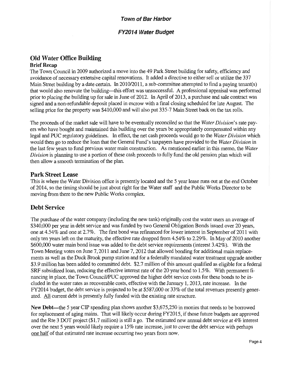### FY2014 Water Budget

### Old Water Office Building Brief Recap

The Town Council in 2009 authorized a move into the 49 Park Street building for safety, efficiency and avoidance of necessary extensive capital renovations. It added a directive to either sell or utilize the 337 Main Street building by a date certain. In 2010/2011, a sub-committee attempted to find a paying tenant(s) that would also renovate the building---this effort was unsuccessful. A professional appraisal was performed prior to placing the building up for sale in June of 2012. In April of 2013, a purchase and sale contract was signed and a non-refundable deposit placed in escrow with a final closing scheduled for late August. The selling price for the property was\$ 410,000 and will also put 335-7 Main Street back on the tax rolls.

The proceeds of the market sale will have to be eventually reconciled so that the Water Division's rate payers who have bought and maintained this building over the years be appropriately compensated within any legal and PUC regulatory guidelines. In effect, the net cash proceeds would go to the Water Division which would then go to reduce the loan that the General Fund's taxpayers have provided to the Water Division in the last few years to fund previous water main construction. As mentioned earlier in this memo, the Water Division is planning to use a portion of these cash proceeds to fully fund the old pension plan which will then allow a smooth termination of the plan.

### Park Street Lease

This is where the Water Division office is presently located and the 5 year lease runs out at the end October of 2014, so the timing should be just about right for the Water staff and the Public Works Director to be moving from there to the new Public Works complex.

### Debt Service

The purchase of the water company( including the new tank) originally cost the water users an average of 340,000 per year in debt service and was funded by two General Obligation Bonds issued over 20 years, one at 4.54% and one at 2.7%. The first bond was refinanced for lower interest in September of 2011 with only ten years left on the maturity, the effective rate dropped from 4.54% to 2.29%. In May of <sup>2010</sup> another 600,000 water main bond issue was added to the debt service requirements( interest 3. 42%). With the Town Meeting votes on June 7, 2011 and June 7, 2012 that allowed bonding for additional main replacements as well as the Duck Brook pump station and for a federally mandated water treatment upgrade another \$3.9 million has been added to committed debt. \$2.7 million of this amount qualified as eligible for a federal SRF subsidized loan, reducing the effective interest rate of the 20 year bond to 1.5%. With permanent financing in place, the Town Council/PUC approved the higher debt service costs for these bonds to be included in the water rates as recoverable costs, effective with the January 1, 2013, rate increase. In the FY2014 budget, the debt service is projected to be at \$587,000 or 33% of the total revenues presently generated. All current debt is presently fully funded with the existing rate structure.

New Debt—the 5 year CIP spending plan shows another \$3,675,250 in monies that needs to be borrowed for replacement of aging mains. That will likely occur during FY2015, if those future budgets are approved and the Rte 3 DOT project (\$1.7 million) is still a go. The estimated new annual debt service at 4% interest over the next <sup>5</sup> years would likely require <sup>a</sup> 15% rate increase, just to cover the debt service with perhaps one half of that estimated rate increase occurring two years from now.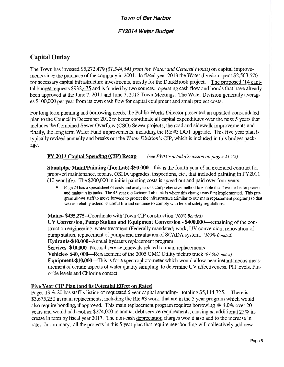### FY2014 Water Budget

### Capital Outlay

The Town has invested \$5,272,479 (\$1,544,541 from the Water and General Funds) on capital improvements since the purchase of the company in 2001. In fiscal year 2013 the Water division spent \$2,563,570 for necessary capital infrastructure investments, mostly for the DuckBrook project. The proposed ' <sup>14</sup> capital budget requests \$932,475 and is funded by two sources: operating cash flow and bonds that have already been approved at the June 7, 2011 and June 7, 2012 Town Meetings. The Water Division generally averages\$ 100,000 per year from its own cash flow for capital equipment and small project costs.

For long term planning and borrowing needs, the Public Works Director presented an updated consolidated plan to the Council in December 2012 to better coordinate all capital expenditures over the next 5 years that includes the Combined Sewer Overflow( CSO) Sewer projects, the road and sidewalk improvements and finally, the long term Water Fund improvements, including the Rte #3 DOT upgrade. This five year plan is typically revised annually and breaks out the *Water Division's* CIP, which is included in this budget package.

### FY 2013 Capital Spending (CIP) Recap (see PWD's detail discussion on pages 21-22)

Standpipe Maint/Painting( Jax Lab)-\$50,000– this is the fourth year of an extended contract for proposed maintenance, repairs, OSHA upgrades, inspections, etc., that included painting in FY2011 10 year life). The\$ 200,000 in initial painting costs is spread out and paid over four years.

Page 23 has a spreadsheet of costs and analysis of a comprehensive method to enable the Town to better protect and maintain its tanks. The 45 year old Jackson Lab tank is where this change was first implemented. This program allows staff to move forward to protect the infrastructure( similar to our main replacement program) so that we can reliably extend its useful life and continue to comply with federal safety regulations.

### Mains- \$435,275--Coordinate with Town CIP construction (100% Bonded)

UV Conversion, Pump Station and Equipment Conversion-\$ 400,000— remaining of the construction engineering, water treatment( Federally mandated) work, UV conversion, renovation of pump station, replacement of pumps and installation of SCADA system. (100% Bonded) Hydrants-\$10,000--Annual hydrants replacement program Services- \$10,000--Normal service renewals related to main replacements Vehicles- \$40, 000—Replacement of the 2005 GMC Utility pickup truck (97,000 miles) Equipment-\$10,000—This is for a spectrophotometer which would allow near instantaneous measurement of certain aspects of water quality sampling to determine UV effectiveness, PH levels, Fluoride levels and Chlorine contact.

### Five Year CIP Plan (and its Potential Effect on Rates)

Pages 19 & 20 has staff's listing of requested 5 year capital spending—totaling \$5,114,725. There is \$3,675,250 in main replacements, including the Rte #3 work, that are in the 5 year program which would also require bonding, if approved. This main replacement program requires borrowing @ 4.0% over <sup>20</sup> years and would add another \$274,000 in annual debt service requirements, causing an additional 25% increase in rates by fiscal year 2017. The non-cash depreciation charges would also add to the increase in rates. In summary, all the projects in this <sup>5</sup> year plan that require new bonding will collectively add new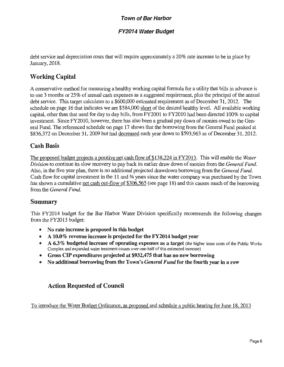### FY2014 Water Budget

debt service and depreciation costs that will require approximately <sup>a</sup> 20% rate increase to be in place by January, 2018.

### Working Capital

A conservative method for measuring a healthy working capital formula for <sup>a</sup> utility that bills in advance is to use <sup>3</sup> months or 25% of annual cash expenses as a suggested requirement, plus the principal of the annual debt service. This target calculates to a \$600,000 estimated requirement as of December 31, 2012. The schedule on page 16 that indicates we are \$584,000 short of the desired healthy level. All available working capital, other than that used for day to day bills, from FY2001 to FY2010 had been directed 100% to capital investment. Since FY2010, however, there has also been a gradual pay down of monies owed to the General Fund. The referenced schedule on page 17 shows that the borrowing from the General Fund peaked at \$836,372 on December 31, 2009 but had decreased each year down to \$593,963 as of December 31, 2012.

### Cash Basis

The proposed budget projects a positive net cash flow of \$138,224 in FY2013. This will enable the Water Division to continue its slow recovery to pay back its earlier draw down of monies from the *General Fund*. Also, in the five year plan, there is no additional projected drawdown borrowing from the General Fund. Cash flow for capital investment in the 11 and 3/4 years since the water company was purchased by the Town has shown a cumulative net cash out-flow of \$306,565 (see page 18) and this causes much of the borrowing from the General Fund.

### Summary

This FY2014 budget for the Bar Harbor Water Division specifically recommends the following changes from the FY2013 budget:

- No rate increase is proposed in this budget
- A 10.0% revenue increase is projected for the FY2014 budget year  $\bullet$
- A 6.3% budgeted increase of operating expenses as a target (the higher lease costs of the Public Works  $\bullet$ Complex and expanded water treatment causes over one-half of this estimated increase)
- Gross CIP expenditures projected at\$ 932,475 that has no new borrowing
- No additional borrowing from the Town's *General Fund* for the fourth year in a row  $\bullet$

### Action Requested of Council

To introduce the Water Budget Ordinance, as proposed and schedule a public hearing for June 18, 2013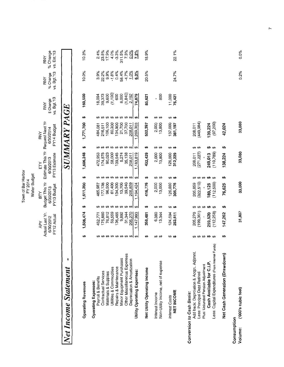|                                                  |         |                                                    |                          | Town of Bar Harbor<br>Water Budget<br>FY 2014    |                                             |                                                                     |                    |                                        |         |                                        |                                       |                                       |  |
|--------------------------------------------------|---------|----------------------------------------------------|--------------------------|--------------------------------------------------|---------------------------------------------|---------------------------------------------------------------------|--------------------|----------------------------------------|---------|----------------------------------------|---------------------------------------|---------------------------------------|--|
|                                                  |         | Actual Last Yr.<br>FY12 Actual<br>6/30/2012<br>APY |                          | Budget This Yr<br>FY13 Budget<br>6/30/2013<br>ΡĀ |                                             | Estimate This Yr Request Next Yr<br>FY13 Estimate<br>6/30/2013<br>모 |                    | FY14 Budget<br>6/30/2014<br><b>RNY</b> |         | vs. Bgt.'13<br>\$ Change<br><b>RNY</b> | vs. Bgt.'13<br>% Change<br><b>RNY</b> | % Change<br>vs. Est.'13<br><b>RNY</b> |  |
| ٠<br>Net Income Statement                        |         |                                                    |                          |                                                  |                                             | SUMMARY                                                             |                    |                                        | PAGE    |                                        |                                       |                                       |  |
| <b>Operating Revenues</b>                        | မာ      | 1,506,474                                          | မာ                       | 1,611,200                                        | မာ                                          | 1,606,248                                                           | မာ                 | 1,771,700                              | မာ      | 160,500                                | 10.0%                                 | 10.3%                                 |  |
| Payroll & Benefits<br><b>Operating Expenses:</b> |         | 452,771                                            | ↮                        | 465,987                                          | ↮                                           | 472,953                                                             |                    | 484,081                                |         | 18,094                                 | 3.9%                                  | 2.4%                                  |  |
| Contractual Services                             |         | 175,880                                            | ↮                        | 177,138                                          | ↮                                           | 174,875                                                             | မာမာ               | 216,511                                |         | 39,373                                 | 22.2%                                 |                                       |  |
| Materials & Supplies                             |         | 76,812                                             | ↮                        | 96,500                                           |                                             | 90,023                                                              |                    | 106,100                                |         | 9,600                                  | 9.9%                                  | 23.8%<br>17.9%                        |  |
| Utilities & Commodities                          |         | 59,559                                             | $\boldsymbol{\varTheta}$ | 61,400                                           | $\boldsymbol{\omega}$ $\boldsymbol{\omega}$ | 58,000                                                              |                    | 60,300                                 |         | (1, 100)                               | $-1.8%$                               | 4.0%                                  |  |
| Repairs & Maintenance                            |         | 136,465                                            | ↮                        | 134,300                                          |                                             | 139,545                                                             | <b>09 09 09 09</b> | 134,900                                |         | 600                                    | 0.4%                                  | $-3.3%$                               |  |
| Minor Equipment Purchases                        |         | 9,892                                              | ↮                        | 13,700                                           | ↮                                           | 5,274                                                               |                    | 21,700                                 |         | 8,000                                  | 58.4%                                 | 311.5%                                |  |
| Other Miscellaneous Expenses                     |         | 31,344                                             | မှာ မှာ                  | 39,540                                           | ↮                                           | 35,138                                                              | မှာ မှာ            | 37,700                                 |         | (1, 840)                               | $-4.7%$                               | 7.3%                                  |  |
| Depreciation & Amortization                      |         | 205,270                                            |                          | 205,859                                          | ↮                                           | 208,011                                                             |                    | 208,011                                |         | 2,152                                  | 1.0%                                  | 0.0%                                  |  |
| Utility Operating Expenses:                      |         | 1,147,993                                          | ↮                        | 1,194,424                                        | ↮                                           | 1,183,819                                                           | ↮                  | 1,269,303                              | ↮       | 74,879                                 | 6.3%                                  | $7.2\%$                               |  |
| Net Utility Operating income                     | ↮       | 358,481                                            | မာ                       | 416,776                                          | မာ                                          | 422,429                                                             | မှ                 | 502,397                                | ↮       | 85,621                                 | 20.5%                                 | 18.9%                                 |  |
| Interest Income                                  | ↮       | 6,380                                              | ↮                        | 2,000                                            | ↮                                           | 2,000                                                               | ↮                  | 2,000                                  | ↮       | ı                                      |                                       |                                       |  |
| Non-Utility Income, net of expense               | ↮       | 13,344                                             | ↮                        | 13,000                                           | ↮                                           | 13,800                                                              | ↮                  | 13,800                                 | ↮       | 800                                    |                                       |                                       |  |
| Interest Costs                                   | မှာ မှာ | 124,594                                            | မှာ မှာ                  | 126,000                                          | မှာ မှာ                                     | 126,000                                                             | မှာ မှာ            | 137,000                                | မှာ မှာ | 11,000                                 |                                       |                                       |  |
| NET INCOME                                       |         | 253,611                                            |                          | 305,776                                          |                                             | 312,229                                                             |                    | 381,197                                |         | 75,421                                 | 24.7%                                 | 22.1%                                 |  |
| Conversion to Cash Basis:                        |         |                                                    |                          |                                                  |                                             |                                                                     |                    |                                        |         |                                        |                                       |                                       |  |
| Add back: Deprciation & Acqtn. Adjtmnt.          |         | 205,270                                            | ↮                        | 205,859                                          | မှာ မှာ                                     | 208,011                                                             | မှာ မှာ            | 208,011                                |         |                                        |                                       |                                       |  |
| Less: Principal Debt Retired                     |         | (199, 361)                                         | ↮                        | (322, 510)                                       |                                             | (271, 227)                                                          |                    | (449, 984)                             |         |                                        |                                       |                                       |  |
| Plus: Unfunded Pension Adjustment                |         |                                                    | ↮                        |                                                  | ↮                                           |                                                                     |                    |                                        |         |                                        |                                       |                                       |  |
| Cash Available for C.I.P.                        |         | 259,520                                            | ↮                        | 189,125                                          | ₩                                           | 249,013                                                             | ↮                  | 139,224                                |         |                                        |                                       |                                       |  |
| Less: Capital Expenditures (From Internal Funds) |         | (112, 258)                                         | မာ                       | (112,500)                                        | ↮                                           | (110, 789)                                                          | ↮                  | (97, 200)                              |         |                                        |                                       |                                       |  |
| Net Cash Generation (Drawdown                    | မာ      | 147,262                                            | H                        | 76,625                                           | 49                                          | 138,224                                                             | ↮                  | 42,024                                 |         |                                        |                                       |                                       |  |
| ('000's cubic feet)<br>Consumption<br>Volume:    |         | 31,807                                             |                          | 33,000                                           |                                             | 33,080                                                              |                    | 33,080                                 |         |                                        | 0.2%                                  | 0.0%                                  |  |

 $\overline{r}$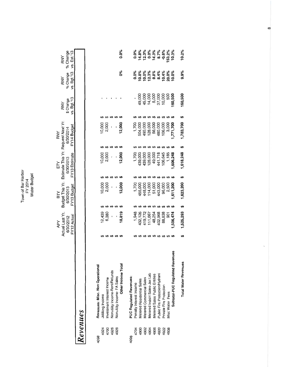Town of Bar Harbor<br>FY 2014<br>Water Budget

|     | RNY                                                                | % Change % Change | vs. Bgt.'13 vs. Est.'13 |      |  |
|-----|--------------------------------------------------------------------|-------------------|-------------------------|------|--|
|     | RNY                                                                |                   |                         |      |  |
|     | RNY                                                                | Schange           | vs. Bgt 13              |      |  |
| RNY |                                                                    | 6/30/2014         | FY14 Budget             |      |  |
| È   | Actual Last Yr. Budget This Yr. Estimate This Yr. Request Next Yr. | 6/30/2013         | FY13 Estimate           |      |  |
| ZВ  |                                                                    | 6/30/2013         | FY13 Budget             |      |  |
| APY |                                                                    | 6/30/2012         | FY12 Actual             |      |  |
|     |                                                                    |                   |                         |      |  |
|     |                                                                    |                   |                         |      |  |
|     |                                                                    |                   |                         |      |  |
|     |                                                                    |                   |                         | mues |  |

| Ç<br>כי |
|---------|
|         |
|         |
| 2       |
|         |
|         |
|         |
|         |
|         |
|         |

|                                 |                |                                         |                                |                            | 0.0%<br>စိစ        |                                |                         |                           |                          |                               | <b>8 % % % % % % % % % %</b><br>0 ± 5 0 ± 9 0 <u>0 0</u><br>0 ± 5 0 ± 9 0 <u>0 0</u><br>०० १९ १९ १९ १९ १९ १९<br>०००० १९ १९ १९ १९ १९ १९<br>००० २० १९ १९ १९ १९ १९ |                                |                         |                 |                                     | 10.2%<br>9.9%               |
|---------------------------------|----------------|-----------------------------------------|--------------------------------|----------------------------|--------------------|--------------------------------|-------------------------|---------------------------|--------------------------|-------------------------------|-----------------------------------------------------------------------------------------------------------------------------------------------------------------|--------------------------------|-------------------------|-----------------|-------------------------------------|-----------------------------|
|                                 |                |                                         |                                |                            |                    |                                |                         |                           |                          |                               |                                                                                                                                                                 |                                |                         |                 |                                     | 160,500                     |
|                                 |                |                                         |                                |                            |                    |                                |                         |                           |                          |                               | <del>.</del>                                                                                                                                                    |                                |                         |                 |                                     |                             |
|                                 |                | ក<br>ខិន្ទ <b>ខិ</b><br>ខិន្ទ <b>ខិ</b> |                                |                            |                    |                                |                         |                           | 193,000                  | 128,000                       | 56,000                                                                                                                                                          | 480,000                        | 106,000                 | 3,000           |                                     | ,783,700                    |
|                                 |                |                                         |                                |                            |                    |                                |                         |                           |                          |                               | <b>69 69 69 69 69</b>                                                                                                                                           |                                |                         |                 |                                     |                             |
|                                 |                | ភិទ្ធុ<br>ភិទ្ធុ<br>ភិទ្ធុ              |                                |                            |                    |                                | 1,700                   | 439,00                    | 139,00                   | 28,000                        | 49,000                                                                                                                                                          | 441,718                        | 106,645                 | 1,185           | 606,248                             | ,618,248                    |
|                                 |                |                                         | <b>69 69 69 69</b>             |                            |                    |                                |                         |                           |                          |                               | <b>69 69 69 69 69 69</b>                                                                                                                                        |                                |                         |                 |                                     |                             |
|                                 |                | 0,000<br>2,000<br>2,0 <b>00</b>         |                                |                            |                    |                                | 1,700                   | 455,000                   | 448,000                  |                               | 114,000<br>51,000<br>443,000<br>96,000                                                                                                                          |                                |                         | 2,500           |                                     | ,623,200                    |
|                                 |                |                                         |                                |                            |                    |                                |                         |                           |                          |                               | <b>88888</b>                                                                                                                                                    |                                |                         |                 |                                     |                             |
|                                 |                | 12,439<br>6,380<br>6                    |                                |                            | ۔<br>18,819        |                                | 1,948                   | 132,126                   | 119,772                  | 111,667                       | 48,254                                                                                                                                                          | 402,968                        | 88,838                  | 90              | ,506,474                            | ,525,293                    |
|                                 |                | <b>69 69 69 69</b>                      |                                |                            |                    |                                |                         |                           |                          |                               | <b>88888888</b>                                                                                                                                                 |                                |                         |                 |                                     |                             |
| Revenues: Misc. Non Operational | Jobbing Income | Investment Interest Income              | Nonutility Income-Rent/Refunds | Nonutility Income-FA Sales | Other Income Total | <b>PUC Requlated Revenues:</b> | Penalty Interest Income | Metered Residential Sales | Metered Commercial Sales | Metered Indstrl Sales-Jax Lab | Metered Sales Public Entities                                                                                                                                   | Public Fire Protection/Hydrant | Private Fire Protection | Misc Water Fees | 3<br>Subtotal-PUC Regulated Revenu- | <b>Total Water Revenues</b> |
| 4098                            | 4924           | 4700                                    | 4926                           | 4928                       |                    | 4098                           | 4704                    | 4900                      | 4902                     | 4904                          | 4906                                                                                                                                                            | 4920                           | 4922                    | 4938            |                                     |                             |

 $\infty$ 

 $\ddot{\phantom{0}}$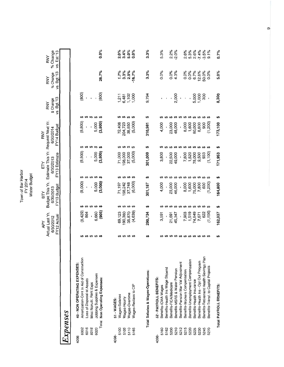Town of Bar Harbor Water Budget FY 2014

RNY

FY

ВTY

APY

 $0.0\%$ 2.2%<br>-2.0%  $3.4%$ 5.0%<br>0.0% 8% %<br>0.4% %<br>0.7 % % 2.0%  $3.3%$ 5.3% 2.6%<br>5.3% % Change vs. Est.'13 RNY  $3.3\%$ 6.7%<br>12.8%<br>50.0%  $1.7\%$ 2.9% vs. Bgt.'13 26.7%  $-16.7%$  $3.3%$  $0.0%$ 0.0%<br>4.3% 0.0%<br>0.0% 0.0% % Change RNY  $(800)$  $(800)$  $1,000$ 2,000 5,000<br>1,000<br>300  $|211$ 6,481 9,794  $\bar{1}$  $\overline{1}$  $\overline{\phantom{a}}$ J,  $\bar{a}$ vs. Bgt.'13 ï ï \$ Change RNY ↮ မှာမှာ  $\theta$  $\leftrightarrow$  $\leftrightarrow$  $\theta$  $\pmb{\varphi}$ ക ക မာ ക ക  $\theta$ မာ မာ ₩ 5,000<br>(3,800) Budget This Yr. Estimate This Yr. Request Next Yr.  $(8, 800)$  $(5,000)$  $(1,200)$ 23,000<br>48,000 72,408 8,000 204,723 38,850 4,000 1,600 80,000 8,800 900 310,981 FY14 Budget l,  $\ddot{\phantom{0}}$  $\overline{\phantom{a}}$ 6/30/2014 69  $\theta$ **69 69 69** မှာ မှာ မှာ မှာ မာ ക ↮ ക မာ ↮ ↮ ക  $(8, 800)$ 5,000<br>(3,800)  $(5,000)$  $(1, 100)$ 98,000 37,000 1,520<br>78,000 71,000 3,800 22,500 49,000 7,800 9,500 933 FY13 Estimate 301,000  $\ddot{\phantom{a}}$  $\overline{\phantom{a}}$ I 6/30/2013  $\boldsymbol{\omega}$ မာမာ ↮  $\theta$ \$  $\Theta$  $\Theta$  $\theta$ မာ ക မာ  $\theta$  $5,000$ <br> $(3,000)$  $(6,000)$  $(8,000)$  $(1,200)$ 71,197 37,748 600 4,000 23,000 46,000 8,000<br>1,600 75,000 7,800 198,242 301,187 FY13 Budget l, ı , 6/30/2013  $\boldsymbol{\omega}$  $\Theta$ မှာ မှာ  $\boldsymbol{\omega}$ မှာ မှာ ↮ မာ မာ  $\boldsymbol{\omega}$   $\boldsymbol{\omega}$  $\theta$  $\theta$  $\theta$  $\theta$  $\theta$  $\theta$  $(905)$  $(8,429)$ 6,660  $(1, 156)$ Actual Last Yr. 864 69,123 35,870  $(4,639)$ 7,903 1,519 74,849 90,380 45,347 622 290,734 3,591 21,691 7,671 FY12 Actual  $\overline{\phantom{a}}$ j 6/30/2012  $\Theta$  $\boldsymbol{\omega}$   $\boldsymbol{\omega}$ **69 69 69** မာ  $\Theta$ **69 69 69 69 69 69 69 69** Benefits-Retirement Health Savings Plan Amortization-Cont In Aid of Construction Benefits-Unemployment Compensation Benefits-Health Ins - Opt Out Program Benefits-Pension Mar Val Adjustment 49 - NON OPERATING EXPENSES: Benefits-Transf. to Capital Projects Benefits-Health Ins Wage Stipend Benefits-MSRS & Water Pension Benefits-Workers Compensation Total Salaries & Wages-Operations: Jobbing Supplies & Expenses Total Non Operating Expenses: 52 - PAYROLL BENEFITS: Loss of Disposal of Assets Benefits-Health Insurance Misc Nonutil. Rent Exps Benefits-FICA/Medicare Wages-Reclass to CIP Benefits-ICMA Wages Wages-Overtime Wages-Salaries Wages-Hourly 51 - WAGES: Expenses 6016 6018 6020 5110 5230 6002 5100 5105 5165 5160 5162 5200 5210 5212  $5215$ 5220 5225 5245 5270 4098-4098 4098თ

 $0.7\%$ 

 $5.0\%$ 

8,300

 $\bullet$ 

173,100

**SA** 

171,953

 $\bullet$ 

164,800

\$

162,037

ശ

Total PAYROLL BENEFITS: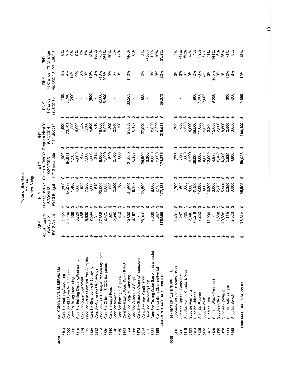|                                               | RNY                                     | % Change<br>vs. Est.'13    |                            | ೦%                           |                               | $0\%$                       | $0\%$                                   | 7%                        | 1%                                     | 13%                              | 105%                           | $-5\%$                                       | 264%                              | 60%                 | 5%              | 17%                          |                                      | 140%                         | 0%                         |                                        | 2%                        | $-100%$                 | 10%                                         | 10%                              | 23.8%                                |                            | $-4\%$                             | $-47%$                      | 60%                           | 14%              | 4%                | 22%                            | 67%                      | 11%                        | 41%                      | 5%              | 25%                | $-1\%$                   | 0%               | 18%                        |
|-----------------------------------------------|-----------------------------------------|----------------------------|----------------------------|------------------------------|-------------------------------|-----------------------------|-----------------------------------------|---------------------------|----------------------------------------|----------------------------------|--------------------------------|----------------------------------------------|-----------------------------------|---------------------|-----------------|------------------------------|--------------------------------------|------------------------------|----------------------------|----------------------------------------|---------------------------|-------------------------|---------------------------------------------|----------------------------------|--------------------------------------|----------------------------|------------------------------------|-----------------------------|-------------------------------|------------------|-------------------|--------------------------------|--------------------------|----------------------------|--------------------------|-----------------|--------------------|--------------------------|------------------|----------------------------|
|                                               | <b>RNY</b>                              | vs. Bgt.'13<br>% Change    |                            | 6%                           | 9%                            | $-14%$                      | $0\%$                                   | $6\%$                     | 0%                                     | $-10%$                           | $\delta$                       | $-10%$                                       | 208%                              | $6\%$               | $6\%$           | $\delta^{\circ}$             |                                      | 140%                         |                            |                                        | 2%                        |                         | 0%                                          | 0%                               | 22%                                  |                            | °°C                                | 0%                          | °°                            | 6 <sup>6</sup>   | $-2%$             | $-8\%$                         | 67%                      | 0%                         | 300%                     | 0%              | 0%                 | 12%                      | 6%               | 10%                        |
|                                               | <b>RNY</b>                              | vs. Bgt.'13<br>\$ Change   |                            | 100                          | 5,790                         | (200)                       |                                         |                           |                                        | (500)                            |                                | (2,000)                                      | 5,400                             |                     |                 |                              |                                      | 30,283                       |                            |                                        | 500                       |                         |                                             |                                  | 39,373                               |                            |                                    |                             |                               |                  | (900)             | (1,000)                        | 2,000                    |                            | 9,000                    |                 |                    | 300                      | 200              | 9,600                      |
|                                               |                                         |                            |                            | ↮                            | ₩                             | ↮                           | ↮                                       | ₩                         | ↮                                      | ₩                                | ₩                              | မှာမှာ                                       |                                   | ↮                   |                 |                              |                                      |                              | <b>69 69 69 69 69 69</b>   |                                        |                           | ↮                       |                                             |                                  |                                      |                            |                                    |                             | ₩                             | ↮                |                   | <b>09 09 09 09 09</b>          |                          |                            |                          | မာ              | ₩                  | ₩                        | မာ               | မာ                         |
|                                               | <b>RNY</b>                              | FY14 Budget<br>6/30/2014   |                            | 1,900                        | 70,701                        | 1,200                       | 4,000                                   | 520                       | 7,300                                  | 4,500                            | 640                            | 18,000                                       | 8,000                             | 800                 | 2,200           | 700                          |                                      | 51,883                       | 6,167                      |                                        | 27,000                    |                         | 8,800<br>2,200                              |                                  | 216,511                              |                            | 1,700                              | 600                         | 1,600                         | 4,000            | 39,500            | 11,000                         | 5,000                    | 13,300                     | 12,000                   | 2,200           | 8,600              | 2,800                    | 3,800            | 106,100                    |
|                                               |                                         |                            |                            | ↮                            | ↮                             | ↮                           | ↮                                       | ↮                         | ↮                                      | ക                                | ↮                              | ↮                                            | ₩                                 | ↮                   | ↮               | ക                            | ↮                                    | ↮                            | မှာ မှာ မှာ                |                                        |                           | ↮                       | ↮                                           |                                  |                                      |                            |                                    |                             | ₩                             | ↮                | မာ                | ↮                              |                          | <b><del>00 00 00</del></b> |                          |                 | ↮                  | <del>ഗ</del>             | ୫                | ↮                          |
|                                               | Estimate This Yr. Request Next Yr.<br>占 | FY13 Estimate<br>6/30/2013 |                            | 1,900                        | 64,911                        | 1,200                       | 4,000                                   | 485                       | 7,200                                  | 4,000                            | 312                            | 19,000                                       | 2,200                             | 500                 | 2,100           | 600                          | ï                                    | 21,600                       | 6,167                      |                                        | 26,500                    | 2,200                   | 8,000                                       | 2,000                            | 174,875                              |                            | 1,775                              | 1,138                       | 1,000                         | 3,500            | 38,000            | 9,000                          | 3,000                    | 12,000                     | 4,975                    | 2,100           | 6,900              | 2,835                    | 3,800            | 90,023                     |
|                                               |                                         |                            |                            | မာမာ                         |                               | ₩                           | θA                                      | ↮                         | ↮                                      | $\boldsymbol{\varTheta}$         | $\leftrightarrow$              |                                              | $\Theta$                          | ↮                   | ↮               | ↮                            | ↮                                    |                              |                            |                                        |                           | <b>89 89 89 89 89</b>   |                                             | ₩                                | <b>GA</b>                            |                            |                                    |                             |                               |                  |                   | <b>09 09 09 09 09 09 09 09</b> |                          |                            |                          |                 |                    | မှာ မှာ မှာ              |                  | မာ                         |
| Town of Bar Harbor<br>Water Budget<br>FY 2014 | Budget This Yr.<br>ЯY                   | FY13 Budget<br>6/30/2013   |                            | 1,800                        | 64,911                        | 1,400                       | 4,000                                   | 520                       | 7,300                                  | 5,000                            | 640                            | 20,000                                       | 2,600                             | 800                 | 2,200           | 700                          |                                      | 21,600                       | 6,167                      |                                        | 26,500                    |                         | 8,800                                       | 2,200                            | 177,138                              |                            | 1,700                              | 600                         | 1,600                         | 4,000            | 40,400            | 12,000                         | 3,000                    | 13,300                     | 3,000                    | 2,200           | 8,600              | 2,500                    | 3,600            | 96,500                     |
|                                               |                                         |                            |                            | ↮                            | မာ                            | မာ                          | ↮                                       | ↮                         | ↮                                      | ↮                                | ↮                              | ↮                                            | ↮                                 | ↮                   | ↮               | ↮                            | ↮                                    | ↮                            | $\theta$ $\theta$ $\theta$ |                                        |                           | ↮                       | ↮                                           | ₩                                | <b>GA</b>                            |                            |                                    | ₩                           | ↮                             | ↮                | ↮                 | <b>09 09 09 09 09</b>          |                          |                            |                          |                 |                    | မှာမှာ                   |                  | မာ                         |
|                                               | Actual Last Yr.<br>APY                  | FY12 Actual<br>6/30/2012   |                            | 1,750                        | 59,290                        | 566                         | 3,720                                   | 485                       | 6,630                                  | 7,594                            | 311                            | 27,888                                       | 2,475                             | 825                 | 2,040           | 342                          |                                      | 20,800                       | 6,167                      |                                        | 26,000                    |                         | 7,630                                       | 1,367                            | 175,880                              |                            | 1,401                              | 247                         | 705                           | 2,840            | 34,015            | 7,252                          |                          | 11,900                     |                          | 1,668           | 10,638             | 4,116                    | 2,030            | 76,812                     |
|                                               |                                         |                            |                            | ക                            | ₩                             |                             |                                         |                           |                                        |                                  |                                |                                              |                                   |                     |                 |                              |                                      |                              |                            |                                        |                           |                         |                                             | ↮                                |                                      |                            |                                    |                             | ↮                             |                  |                   |                                |                          |                            |                          |                 |                    |                          | မာ               | မာ                         |
|                                               |                                         |                            | 53 - CONTRACTUAL SERVICES: | Cont Srv-Auditing/Accounting | Cont Srv-BH Town Mgt Services | Cont Srv-Billing Processing | Cont Srv-Building Cleaning/Pest control | Cont Srv-Copier Equipment | Cont Srv-Courier Services- Wtr Samples | Cont Srv-Engineering & Surveying | Cont Srv-Generator Maintenance | 65<br>Cont Srv-C.O.S. Study & Pension Mgt Fe | Cont Srv-Chlorine & CO2 Equipment | Cont Srv-Legal Fees | Cont Srv-Mowing | Cont Srv-Printing of Reports | Cont Srv-E.Lake Public Safety Patrol | Cont Srv-Rental of Land/Bldg | Cont Srv-Comp Lic & Suppt  | Cont Srv-Stanpipe Cleaning/Inspections | Cont Srv-Tank Maintenance | Cont Srv-Temporary Help | Cont Srv-Testing Water Samples (incl postg) | Cont Srv-Uniform Cleaning/Rental | CONTRACTUAL SERVICES<br><b>Total</b> | 54 - MATERIALS & SUPPLIES: | Supplies-Clothing, Uniforms, Boots | Supplies-Copier & Computers | Supplies-Forms, Checks & Misc | Supplies-Ammonia | Supplies-Chlorine | Supplies-Flouride              | Supplies-CO <sub>2</sub> | Supplies-Lime              | Supplies-Water Treatment | Supplies-Office | Supplies-Operating | Supplies-Safety Supplies | Supplies-Vehicle | Total MATERIAL & SUPPLIES: |
|                                               |                                         |                            | 4098-                      | 5304                         | 5306                          | 5308                        | 5310                                    | 5314                      | 5315                                   | 5326                             | 5332                           | 5334                                         | 5336                              | 5340                | 5348            | 5360                         | 5362                                 | 5364                         | 5368                       | 5372                                   | 5374                      | 5376                    | 5384                                        | 5388                             |                                      | 4098                       | 5410                               | 5412                        | 5418                          | 5423             | 5424              | 5425                           | 5426                     | 5427                       | 5428                     | 5436            | 5438               | 5444                     | 5458             |                            |

 $\frac{1}{2}$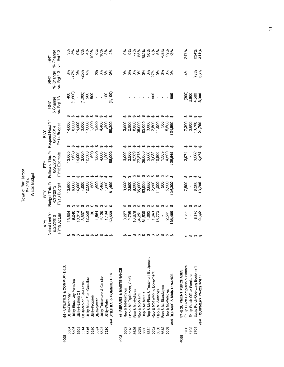Town of Bar Harbor<br>FY 2014<br>Water Budget

|      |                                      |              | Actual Last Yr.<br>ΑPΥ | Budget This Yr<br>Σ<br>Β |                 | Estimate This Yr Request Next Yr<br>모 |                          | KNA                    |                           | RNY                      |                                              | RNY                               | RNY                     |
|------|--------------------------------------|--------------|------------------------|--------------------------|-----------------|---------------------------------------|--------------------------|------------------------|---------------------------|--------------------------|----------------------------------------------|-----------------------------------|-------------------------|
|      |                                      |              | 6/30/2012              | 6/30/2013                |                 | 6/30/2013                             |                          | 6/30/2014              |                           | \$ Change<br>vs. Bgt.'13 |                                              | % Change                          | % Change                |
|      |                                      |              | FY12 Actual            | FY13 Budget              |                 | FY13 Estimate                         |                          | FY14 Budget            |                           |                          |                                              | vs. Bgt.'13                       | vs. Est.'13             |
| 4098 | 55 - UTILITIES & COMMODITIES:        |              |                        |                          |                 |                                       |                          |                        |                           |                          |                                              |                                   |                         |
| 5504 | Utility-Electricity                  |              | 13,504                 |                          | 13,600          | ↮                                     | 13,600                   | ↮                      | 14,000                    | ↮                        |                                              | $3%$<br>$-17%$                    | ೆ<br>ನಿ<br>೧೮           |
| 5506 | Utility-Electricity Pumping          |              | 9,240                  |                          | 9,600           | ↮                                     | 7,600                    |                        | 8,000                     | ↮                        |                                              |                                   |                         |
| 5508 | Utility-Heating Oil                  |              | 13,814                 | ↮                        | 14,000          |                                       | 14,000                   | ↮                      | 14,000                    | ↮                        |                                              |                                   |                         |
| 5514 | Jtility-Motor Fuel-Diesel            |              | 3,537                  | ↮                        | 4,000           |                                       | 3,000                    | ക                      | 3,000                     | ക                        | $400$<br>$(1,000)$<br>$(1,000)$<br>$(1,000)$ | 0%<br>-25%                        | $\frac{6}{3}$           |
| 5516 | Utility-Motor Fuel-Gasoline          |              | 12,550                 | ↮                        | 2,500           |                                       | 12,500                   | မှာ မှာ မှာ            | 13,000                    | မှာမှာ                   |                                              | 4%                                | 4%                      |
| 5520 | Jtility-Propane                      |              | ೫                      | ↮                        | 500             |                                       | 500                      |                        | 1,000                     |                          |                                              |                                   | 100%                    |
| 5524 | Utility-Sewer                        | <del>.</del> | 1,564                  | ↮                        | 1,600           | <b>09 09 09 09 09 09</b>              | 1,600                    |                        | 1,600                     | ↮                        | ï                                            | စိစ                               | $\frac{6}{3}$           |
| 5528 | Utility-Telephone & Cellular         |              | 4,136                  | ₩                        | 4,400           |                                       | 4,000                    | ↮                      | 4,400                     | ↮                        | i,                                           | $\delta^{\rm o}_0$                | 10%                     |
| 5530 | Utility-Water                        |              | 1,184                  | $\boldsymbol{\varTheta}$ | 1,200           |                                       | 1,200                    | ↮                      | 1,300                     | ↮                        | (100)                                        | 8%                                | $\frac{8}{6}$           |
|      | Total UTILITIES & COMMODITIES        |              | 59,559                 |                          | 61,400          | ക                                     | 58,000                   |                        | 60,300                    |                          |                                              | $-2\%$                            |                         |
| 4098 | 56-REPAIRS & MAINTENANCE             |              |                        |                          |                 |                                       |                          |                        |                           |                          |                                              |                                   |                         |
| 5602 | Rep & Mt-Buildings                   |              | 3,227                  |                          | 3,000           |                                       | 3,000                    |                        | 3,000                     |                          |                                              | °°                                | ò,                      |
| 5618 | Rep & Mt-Equipment, Gen'l            |              | 2,798                  |                          | 2,500           |                                       | 2,500                    |                        | 2,500                     |                          |                                              | 8°C                               | ò,                      |
| 5626 | Rep & Mt-Hydrants                    |              | 10,378                 |                          | 8,000           |                                       | 8,569                    | ↮                      | 8,000                     |                          |                                              | °°C                               | $-7\%$                  |
| 5628 | Rep & Mt-Mains                       |              | 34,251                 | မာ မာ မာ                 | 35,000          |                                       | 77,875                   |                        | 35,000                    |                          |                                              |                                   | $-55%$                  |
| 5630 | Rep & Mt-Meters                      | <del>.</del> | 61,539                 |                          | 63,000          | <b>69 69 69 69 69 69 69</b>           | 25,000                   | <b><del>ഗഗഗഗ</del></b> | 63,000                    | ക                        |                                              | ಕಿ ಕೆ ಕೆ ಕ್ಲಿ ಕೆ<br>ಕೆ ಕೆ ಕ್ಲಿ ಕೆ | 52%<br>20%              |
| 5634 | Rep & Mt-Plant & Treatment Equipment |              | 4,092                  | မှာ မှာ                  | 3,600           |                                       | 3,000                    |                        | 3,600                     | မှာ မှာ                  |                                              |                                   |                         |
| 5642 | Rep & Mt-Pumping Equipment           |              | 1,849                  |                          | 2,200           |                                       | 3,032                    |                        | 2,800                     |                          | 600                                          |                                   |                         |
| 5650 | Rep & Mt-Services                    |              | 15,770                 | ക                        | 11,000          |                                       | 10,500                   |                        | 11,000                    | ↮                        |                                              |                                   | $-8%$                   |
| 5652 | Rep & Mt-Standpipes                  |              |                        | မှာ မှာ                  | 500             |                                       | 1,569                    | မှာမှာ                 | 500                       | ↮                        |                                              | °°                                | အ<br>၁၁<br>- <b>၁</b> % |
| 5658 | Rep & Mt-Vehicles                    |              | 2,561                  |                          | 5,500           |                                       | 4,500                    |                        | 5,500                     | ↮                        |                                              | ို စိ                             |                         |
|      | Total REPAIRS & MAINTENANCE          |              | 36,465                 | 34,300                   |                 | မာ                                    | 39,545                   |                        | 34,900                    |                          | 600                                          |                                   |                         |
| 4098 | 57-EQUIPMENT PURCHASES               |              |                        |                          |                 |                                       |                          |                        |                           |                          |                                              |                                   |                         |
| 5700 | Equip Purch-Computers & Printers     |              | 1,722                  |                          | 7,500           | ക                                     | 2,074                    |                        | 7,200                     |                          | $(300)$<br>$3000$<br>$4,500$<br>$4,500$      | $4\%$                             | 247%                    |
| 5702 | Equip Purch-Office Furniture         | မှာမှာ       | í                      |                          | ï               | မာမာ                                  | $\overline{\phantom{a}}$ | မာ မာ                  | 3,800<br>10,700<br>21,700 |                          |                                              |                                   |                         |
| 5704 | Equip Purch-Operating Equipment      |              |                        |                          |                 |                                       |                          |                        |                           | ↮                        |                                              |                                   |                         |
|      | Total EQUIPMENT PURCHASES            | ക            | 8,170<br>9,892         |                          | 6,200<br>13,700 |                                       | $3,200$<br>5,274         |                        |                           |                          |                                              | 73%<br>58%                        | 234%<br>311%            |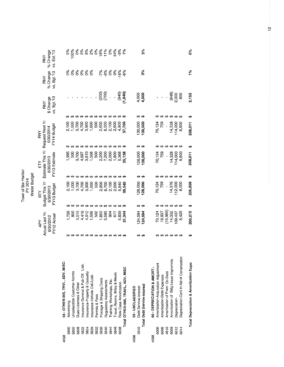|      |                                          |                                      |                          |                                  | water Budge |                            |               |                                         |                    |                             |                         |                                |
|------|------------------------------------------|--------------------------------------|--------------------------|----------------------------------|-------------|----------------------------|---------------|-----------------------------------------|--------------------|-----------------------------|-------------------------|--------------------------------|
|      |                                          |                                      | Actual Last Yr.<br>APY   | Budget This Yr<br>ΡÄ             |             | È                          |               | Estimate This Yr Request Next Yr<br>RNY |                    | RNY                         | <b>RNY</b>              | RNY                            |
|      |                                          |                                      | FY12 Actual<br>6/30/2012 | FY13 Budget<br>6/30/2013         |             | FY13 Estimate<br>6/30/2013 |               | FY14 Budget<br>6/30/2014                |                    | vs. Bgt.'13<br>\$Change     | % Change<br>vs. Bgt.'13 | % Change<br>vs. Est.'13        |
| 4098 | 58 - OTHER-INS, TRVL, ADV, MISC:         |                                      |                          |                                  |             |                            |               |                                         |                    |                             |                         |                                |
| 5800 | Advertising                              | ↮                                    | 1,726                    |                                  | 2,100       |                            | 1,995         | 2,100                                   |                    |                             | ್ಲಿ                     |                                |
| 5802 | Uncollectible Customer Accnts            | ↮                                    | 800                      |                                  | 1,000       |                            | 500           | 1,000                                   |                    |                             | $0\%$                   | 100%                           |
| 5808 | Dues-Licenses & Other                    |                                      | 3,515                    |                                  | 3,700       |                            | 3,700         | 3,700                                   |                    |                             | $6\%$                   | 0%                             |
| 5822 | Insurance-General & Pub Off. Liab.       |                                      | 4,416                    |                                  | 4,700       |                            | ↮<br>4,697    | 4,700                                   | ↮                  |                             | $0\%$                   |                                |
| 5824 | Insurance-Property & Casualty            | <b>09 09 09 09 09 09 09 09 09 09</b> | 4,012                    | <b><del>09 09 09 09 09</del></b> | 3,900       |                            | ↮<br>3,610    | 3,900                                   |                    |                             | 6 <sup>6</sup>          | $8888888888888$<br>$822288888$ |
| 5826 | Insurance-Vehicle Coll./Liab.            |                                      | 1,508                    |                                  | 1,600       | ↮                          | ↮<br>1,568    | 1,600                                   |                    |                             | $6\%$                   |                                |
| 5832 | Permits & Fees                           |                                      | 502                      |                                  | 500         | ക                          | ↮<br>500      | 500                                     |                    |                             |                         |                                |
| 5836 | Postage & Shipping Costs                 |                                      | 1,850                    |                                  | 2,800       | ₩                          | ↮<br>2,200    | 2,600                                   |                    |                             |                         |                                |
| 5840 | Regulatory Assessments                   |                                      | 5,595                    | ₩                                | 8,700       | မာ                         | ↮<br>7,200    | 8,000                                   |                    | $(200)$<br>$(700)$          | $-7%$<br>$-8%$          |                                |
| 5844 | Training, Workshops, Etc.                |                                      | 904                      |                                  | 2,100       | ↮                          | ↮<br>2,000    | 2,100                                   |                    | $\overline{1}$              | 0%                      |                                |
| 5846 | Travel, Rooms, Miles & Meals             |                                      | 677                      | မှာ မှာ မှာ                      | 2,600       | ₩                          | ↮<br>1,800    | 2,600                                   |                    | ł,                          | $0\%$                   |                                |
| 6008 | Rate Case Amortization                   |                                      | 5,839                    |                                  | 5,840       | မာ                         | ↮<br>5,368    | 4,900                                   | <b>69 69 69 69</b> |                             | $-16%$                  |                                |
|      | Total OTHER-INS, TRAVL, ADV, MISC        |                                      | 31,344                   |                                  | 39,540      |                            | ₩<br>35,138   | 37,700                                  |                    | $(0+6)$<br>(940)            | -5%                     |                                |
| 4098 | 59 - UNCLASSIFIED                        |                                      |                          |                                  |             |                            |               |                                         |                    |                             |                         |                                |
| 5910 | Debt Service-Interest                    |                                      | 124,594                  | ക                                | 126,000     | 126,000                    |               | 130,000                                 | မာ                 | $4,000$<br>$4,000$          |                         |                                |
|      | Total Debt Service-Interest              |                                      | 124,594                  | မာ                               | 126,000     | 126,000                    |               | 130,000                                 | မာ                 |                             | 3%                      | 3%                             |
| 4098 | 60 - DEPRECIATION & AMORT.:              |                                      |                          |                                  |             |                            |               |                                         |                    |                             |                         |                                |
| 6000 | Amortization-Acquisition Adjustment      |                                      | 70,124                   | မာ                               | 70,124      |                            |               | 70,124                                  |                    |                             |                         |                                |
| 6006 | Amortization-Debt Expenses               |                                      | 19,937                   |                                  | 759         | ↮                          | 70,124<br>759 | 759                                     | ↮                  |                             |                         |                                |
| 4610 | Amortization of Prem. On Debt            |                                      | (16, 989)                |                                  | ï           | ↮                          | ↮<br>ï        | ł                                       |                    |                             |                         |                                |
| 6009 | Amortization of Bldg Lease Imprymnts     |                                      | 14,332                   |                                  | 14,976      | ↮                          | ↮<br>14,328   | 14,328                                  |                    |                             |                         |                                |
| 6012 | Depreciation-                            |                                      | 109,437                  | <b>69 69 69 69</b>               | 112,000     | 114,000<br>↮               | မာမာ          | 114,000                                 |                    | $(648)$<br>$2,000$<br>$800$ |                         |                                |
| 6014 | Depreciation-Cont In Aid of Construction |                                      | 8,429                    |                                  | 8,000       | ↮                          | 8,800         | 8,800                                   |                    |                             |                         |                                |
|      | Total Depreciation & Amortization Exps:  |                                      | 205,270                  | မာ                               | 205,859     | 208,011<br>မာ              |               | 208,011                                 | မာ                 | 2,152                       | $\frac{5}{6}$           | 0%                             |
|      |                                          |                                      |                          |                                  |             |                            |               |                                         |                    |                             |                         |                                |

Town of Bar Harbor<br>FY 2014<br>Water Budget

 $\vec{a}$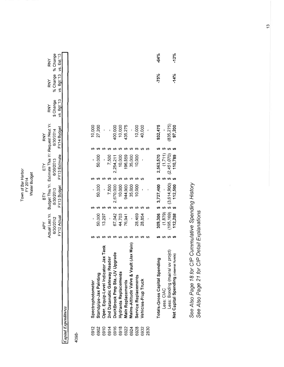|            | RNY                                                                |                   |                           |  |
|------------|--------------------------------------------------------------------|-------------------|---------------------------|--|
|            | <b>RNY</b>                                                         | % Change % Change | vs. Bgt.'13 vs. Est.'13   |  |
|            | RNY                                                                | \$ Change         | vs. Bgt.'13               |  |
| <b>RNY</b> |                                                                    | 6/30/2014         | FY14 Budget               |  |
| ΕY         | Actual Last Yr. Budget This Yr. Estimate This Yr. Request Next Yr. | 6/30/2013         | FY13 Budget FY13 Estimate |  |
| ВTY        |                                                                    | 6/30/2013         |                           |  |
| ΑPΥ        |                                                                    | 6/30/2012         | -Y12 Actual               |  |
|            |                                                                    |                   |                           |  |

Capital Expenditures

4098-

|                   |                        |                                      |                              |                               |                      |                          |                                            |                      |                     |      | 75%                           |            |                                 | .14%                                  |
|-------------------|------------------------|--------------------------------------|------------------------------|-------------------------------|----------------------|--------------------------|--------------------------------------------|----------------------|---------------------|------|-------------------------------|------------|---------------------------------|---------------------------------------|
| 10,000            | 27,200                 |                                      |                              |                               | 400,000<br>10,000    | 135,275                  |                                            | 10,000<br>40,000     |                     |      | 932,475                       |            | 835,275                         | 97,200                                |
|                   |                        |                                      |                              |                               |                      |                          |                                            |                      |                     |      |                               |            |                                 |                                       |
|                   | 50,000                 |                                      | 7,500                        | 2,254,211                     | 10,000               | 196,859                  | 35,000                                     | 10,000               |                     |      | 2,563,570                     | (1,711)    | (2,451,070)                     | 10,789                                |
|                   |                        |                                      |                              |                               |                      |                          |                                            |                      |                     |      |                               |            |                                 |                                       |
|                   | 50,000                 |                                      | 7,500                        | 670,000                       | 10,000               | 944,900                  | 35,000                                     | 10,000               |                     |      | 3,727,400                     |            | $195,169$ \$ $(3,614,900)$      | 112,500                               |
|                   |                        |                                      |                              |                               |                      |                          |                                            |                      |                     |      |                               |            |                                 |                                       |
|                   | 50,000                 | 13,297                               |                              | 67,042                        | 44,703               | 76,941                   |                                            | 28,469               | 28,854              |      | 309,306\$                     | (1, 879)   |                                 | 12,258                                |
|                   |                        |                                      |                              |                               |                      |                          |                                            |                      |                     |      |                               |            |                                 |                                       |
| Spectrophotometer | Standpipe-Jax Painting | Oper. Equip-Level Indicator Jax Tank | 2nd Datamatic Gateway Reader | DuckBrook Pmp Sta.-UV Upgrade | Hydrants Replacement | <b>Main Replacements</b> | Vault (Jax Main)<br>Mains-Altitude Valve & | Service Replacements | Vehicles-P/up Truck |      | Totals-Gross Capital Spending | Less: CIAC | Less: Bonding (mains/ uv projct | Net Capital Spending (Internal funds) |
| 6912              | 6902                   | 6910                                 | 6914                         | 6916                          | 6918                 | 6922                     | 6924                                       | 6928                 | 6932                | 2830 |                               |            |                                 |                                       |

 $-64%$ 

 $-12%$ 

See Also Page 18 for CIP Cummulative Spending History<br>See Also Page 21 for CIP Detail Explanations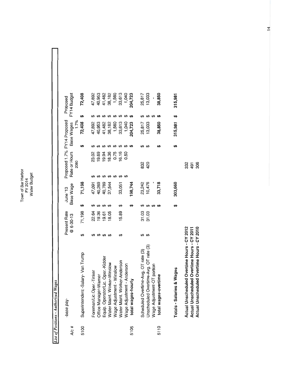Town of Bar Harbor<br>FY 2014<br>Water Budget

List of Positions - Authorized Wages

|       | -base pay-                                                                                                                                |   | Present Rate   |    | June '13  | Proposed 1.7% FY14 Proposed<br>Rate or Hours |   | Base Wages |     | FY14 Budget<br>Proposed |  |
|-------|-------------------------------------------------------------------------------------------------------------------------------------------|---|----------------|----|-----------|----------------------------------------------|---|------------|-----|-------------------------|--|
| A/c # |                                                                                                                                           |   | $@6 - 30 - 13$ |    | Base Wage | 2080                                         |   | 1.7%       |     |                         |  |
| 5100  | Superintendent-Salary-Van Trump                                                                                                           |   | 71,198         | မာ | 71,198    |                                              |   | 72,408     | မာ  | 72,408                  |  |
|       | Foreman/Lic.Oper.-Tinker                                                                                                                  |   | 22.64          |    | 47,091    | 23.02                                        |   | 47,892     |     | 47,892                  |  |
|       | Office Manager-Warner                                                                                                                     |   | 19.36          |    | 40,269    | 19.69                                        |   | 40,953     |     | 40,953                  |  |
|       |                                                                                                                                           | ↮ | 19.61          | ↮  | 40,789    | 19.94                                        |   | 41,482     |     | 41,482                  |  |
|       | Equip. Operator/Lic. Oper.-Kidder<br>Water Maint. Worker-Winslow                                                                          |   | 18.05          | ↮  | 37,544    | 18.36                                        |   | 38,182     |     | 38,182                  |  |
|       | Wage Adjustment - Winslow                                                                                                                 |   |                |    |           | 0.75                                         |   | 1,560      |     | 1,560                   |  |
|       | Water Maint. Worker-Anderson                                                                                                              | ക | 15.89          | ↮  | 33,051    | 16.16<br>ക                                   |   | 33,613     | ↮   | 33,613                  |  |
|       | Wage Adjustment - Anderson                                                                                                                |   |                |    |           | 0.50                                         |   | 1,040      |     | 1,040                   |  |
| 5105  | total wages-hourly                                                                                                                        |   |                | ക  | 198,744   |                                              |   | 204,723    |     | 204,723                 |  |
|       | Scheduled Overtime-Avg. OT rate (3)                                                                                                       |   | 31.03          |    | 23,242    | 832                                          |   | 25,817     |     | 25,817                  |  |
|       | Unscheduled Overtime-Avg. OT rate (3)                                                                                                     | ക | 31.03          |    | 10,476    | 420                                          | ക | 13,033     | ↮   | 13,033                  |  |
|       | Wage Adjustment-OT portion                                                                                                                |   |                | ↮  |           |                                              |   |            | ↮   |                         |  |
| 5110  | total wages-overtime                                                                                                                      |   |                | ക  | 33,718    |                                              |   | 38,850     |     | 38,850                  |  |
|       | Totals - Salaries & Wages                                                                                                                 |   |                |    | 303,660   |                                              |   | 315,981    | မှာ | 315,981                 |  |
|       | Actual Unscheduled Overtime Hours - CY 2012<br>Actual Unscheduled Overtime Hours - CY 2010<br>Actual Unscheduled Overtime Hours - CY 2011 |   |                |    |           | 332<br>306<br>491                            |   |            |     |                         |  |

 $\frac{4}{3}$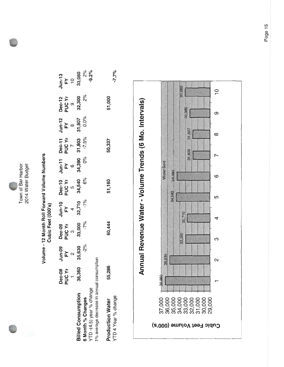

Town of Bar Harbor 2014 Water Budget

## Volume - 12 Month Roll Forward Volume Numbers Cubic Feet (000's)

|                                           | Dec-08<br>PUC Yr<br>1 | Jun-09<br>FY<br>2<br>35,630<br>-2% | Dec-09<br>೨ <b>UC Yr</b><br>೨೫,೦೦೦<br>- <sup>7%</sup> | Jun-10<br>FY<br>32,710<br>-1% | Dec-10<br>೨ <b>UC Yr</b><br>೨೨ ನೊಂ<br>೧% | Jun-11<br>FY<br>6<br>34,390<br>0% | <b>Dec-11</b><br>PUC Yr<br>7.5%<br>-7.5% | Jun-12<br>FY<br>31,807<br>31,807 | Dec-12<br>೨ <b>UC Yr</b><br>೨೩,300<br>೨% | $J$ un-13<br>FY<br>$^{10}$<br>$^{10}$<br>$^{2\%}$<br>$^{2\%}$<br>$^{2\%}$ |
|-------------------------------------------|-----------------------|------------------------------------|-------------------------------------------------------|-------------------------------|------------------------------------------|-----------------------------------|------------------------------------------|----------------------------------|------------------------------------------|---------------------------------------------------------------------------|
| <b>Billed Consumption</b>                 | 36,360                |                                    |                                                       |                               |                                          |                                   |                                          |                                  |                                          |                                                                           |
| 6 Month % Changes                         |                       |                                    |                                                       |                               |                                          |                                   |                                          |                                  |                                          |                                                                           |
| YTD -(4.5) year % change                  |                       |                                    |                                                       |                               |                                          |                                   |                                          |                                  |                                          |                                                                           |
| 1% average decrease in annual consumption |                       |                                    |                                                       |                               |                                          |                                   |                                          |                                  |                                          |                                                                           |
| <b>Production Water</b>                   | 55,286                |                                    | 60,444                                                |                               | 51,160                                   |                                   | 50,337                                   |                                  | 51,000                                   |                                                                           |

 $-7.7\%$ 

YTD 4 Year % change

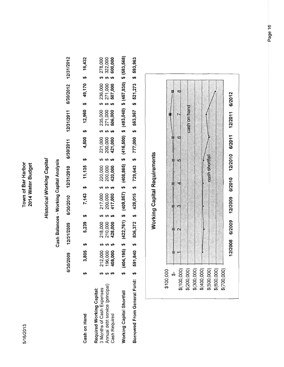5/16/2013

Town of Bar Harbor 2014 Water Budget

## **Historical Working Capital**

### anital Analveis  $\frac{1}{\epsilon}$ **Morkin** ł á<br>÷ င့်

|                                                        |                                                                                                              |    | Cash Balances - Working Capital Analysis                                                                                                                                                                                                                 |                      |  |           |            |                                     |  |  |
|--------------------------------------------------------|--------------------------------------------------------------------------------------------------------------|----|----------------------------------------------------------------------------------------------------------------------------------------------------------------------------------------------------------------------------------------------------------|----------------------|--|-----------|------------|-------------------------------------|--|--|
|                                                        | 6/30/2009                                                                                                    |    | 12/31/2009                                                                                                                                                                                                                                               | 6/30/2010 12/31/2010 |  | 6/30/2011 | 12/31/2011 | 6/30/2012 12/31/2012                |  |  |
| Cash on Hand                                           | 3,805                                                                                                        | မာ | 5,239\$                                                                                                                                                                                                                                                  | $7,143$ \$ 11,135 \$ |  |           |            | 4,500 \$ 12,960 \$ 49,170 \$ 16,432 |  |  |
| Required Working Capital:<br>3 Months of Cash Expenses |                                                                                                              |    |                                                                                                                                                                                                                                                          |                      |  |           |            |                                     |  |  |
| Annual debt service (principal)                        |                                                                                                              |    | 212,000 \$ 218,000 \$ 217,000 \$ 220,000 \$ 221,000 \$ 235,000 \$ 236,000 \$ 278,000<br>196,000 \$ 210,000 \$ 200,000 \$ 200,000 \$ 200,000 \$ 271,000 \$ 271,000 \$ 322,000<br>408,000 \$ 428,000 \$ 417,000 \$ 420,000 \$ 421,000 \$ 506,000 \$ 507,00 |                      |  |           |            |                                     |  |  |
| <b>Cash Required</b>                                   |                                                                                                              |    |                                                                                                                                                                                                                                                          |                      |  |           |            |                                     |  |  |
| Working Capital Shortfall                              | $(404, 195)$ \$ $(422, 761)$ \$ $(409, 857)$ \$ $(416, 500)$ \$ $(493, 040)$ \$ $(457, 830)$ \$ $(583, 568)$ |    |                                                                                                                                                                                                                                                          |                      |  |           |            |                                     |  |  |
| Borrowed From General Fund: \$                         | 591,840 \$ 836,372 \$ 428,015 \$ 729,643 \$ 777,000 \$ 563,967 \$ 521,273 \$ 593,963                         |    |                                                                                                                                                                                                                                                          |                      |  |           |            |                                     |  |  |



Page 16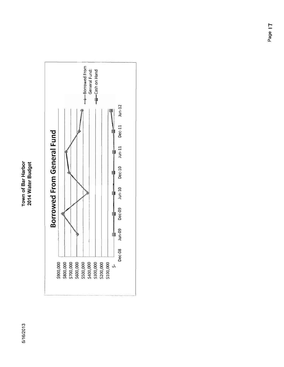### Town of Bar Harbor 2014 Water Budget

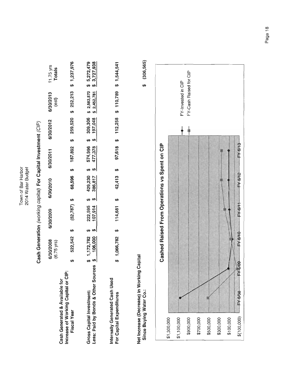Town of Bar Harbor<br>2014 Water Budget

Cash Generation (working capital) For Capital Investment (CIP)

| Cash Generated & Available for                                   |    | 6/30/2008<br>$(6.75$ yrs) | 6/30/2009          | 6/30/2010          |   | 6/30/2011          | 6/30/2012          | 6/30/2013<br>(e <sub>st</sub> ) | $11.75$ yrs<br>Totals                      |
|------------------------------------------------------------------|----|---------------------------|--------------------|--------------------|---|--------------------|--------------------|---------------------------------|--------------------------------------------|
| Increase of Working Capital or CIP:<br><b>Fiscal Year</b>        |    | 522,542 \$                | $(52,787)$ \$      | 68,596             | ക |                    |                    |                                 | 187,892 \$ 259,520 \$ 252,213 \$ 1,237,976 |
| Less: Paid by Bonds & Other Sources<br>Gross Capital Investment: |    | 1,172,782<br>106,000      | 222,595<br>107,914 | 429,230<br>386,817 |   | 574,996<br>477,378 | 197,048<br>309,306 | \$2,452,781                     | \$ 2,563,570 \$ 5,272,479<br>\$3,727,938   |
| Internally Generated Cash Used<br>For Capital Expenditures       | မာ | 1,066,782                 | 114,681            | 42,413             |   |                    |                    |                                 | 97,618 \$ 112,258 \$ 110,789 \$ 1,544,541  |

Net Increase (Decrease) In Working Capital<br>Since Buying Water Co.:

 $$(306, 565)$ 

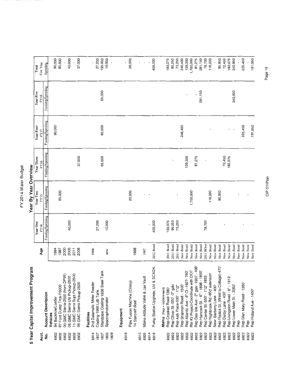## FY 2014 Water Budget

Year By Year Overview

# 5 Year Capital Improvement Program

|                      |                                                                                |                      | Year One         | Year Two         | Year Three       | Year Four        | <b>Year Five</b> | Total               |  |
|----------------------|--------------------------------------------------------------------------------|----------------------|------------------|------------------|------------------|------------------|------------------|---------------------|--|
| Acct.                |                                                                                | Age                  | FY14             | FY15             | FY16             | <b>FY17</b>      | FY18             | Five Year           |  |
| ġ                    | <b>Account Description</b>                                                     |                      | Funding/Spending | Funding/Spending | Funding/Spending | Funding/Spending | Funding/Spending | Spending            |  |
| 6932<br>6932         | 87 Ford Dump Trck-F6000<br>94 Backhoe/Loader<br>Vehicles                       | 1994<br>1987         |                  | 85,000           |                  | 90,000           |                  | 90,000<br>85,000    |  |
| 6932<br>6932         | 00 GMC Sierra-2500 (from DPW)<br>05 GMC Sierra Util Pickup-2500                | 2000<br>2005<br>2011 | 40,000           |                  |                  |                  |                  | 40,000              |  |
| 6932<br>6932         | 11 GMC Sierra Supt Pickup-2500<br>06 GMC Sierra Pickup-2500                    | 2006                 |                  |                  | 37,000           |                  |                  | 37,000              |  |
| 6914                 | 2nd Datamatic Meter Reader<br><b>Facilities</b>                                | new                  |                  |                  |                  |                  |                  |                     |  |
| 1837                 | Coating-1968 Lab Tank                                                          |                      | 27,200           |                  |                  |                  |                  | 27,200              |  |
| 1805<br>1809<br>1837 | Standpipe Coating-1936 Steel Tank<br>Spectrophotometer                         | new                  | 10,000           |                  | 65,000           | 65,000           | 65,000           | 195,000<br>10,000   |  |
|                      | Equipment                                                                      |                      |                  |                  |                  |                  |                  |                     |  |
| 6916                 | Pipe Fusion Machine (Crissy)                                                   |                      |                  | 20,000           |                  |                  |                  | 20,000              |  |
| 6910                 | 14 Starcraft Boat                                                              | 1998                 |                  |                  |                  |                  |                  |                     |  |
| 6926                 | Mains-Altitude Valve & Jax Vault                                               | 1967                 |                  |                  |                  |                  |                  |                     |  |
| 6916<br>6914         | Pump Station Upgrade, UV & SCADA                                               | 2012 Bond            | 400,000          | $\blacksquare$   |                  |                  |                  | 400,000             |  |
|                      |                                                                                |                      |                  |                  |                  |                  |                  |                     |  |
| 6922                 | Rep Crooked Road-1380<br>Mains (Rep = replacement)                             | 2011 Bond            | 193,075          |                  |                  |                  |                  | 193,075             |  |
| 6922                 | Rep Oliver St.-550' -2" galv                                                   | 2011 Bond            | 90,250           |                  |                  |                  |                  | 90,250              |  |
| 6922                 | Rep Ash Place-500' - 1"/2"                                                     | 2011 Bond            | 73,250           |                  |                  |                  |                  | 73,250              |  |
| 6922                 | Rep Shannon Road - 1500                                                        | New Bond             |                  |                  |                  | 246,400          |                  | 246,400             |  |
| 6922                 | Rep Atlantic Ave - 6" CI -1927-760"                                            | New Bond             |                  |                  | 139,300          |                  |                  | 139,300             |  |
| 6922                 | Rte #3 Project-Coordinate with DOT                                             | New Bond             |                  | 1,700,000        | 81,275           |                  |                  | 1,700,000<br>81,275 |  |
| 6922<br>6922         | Rep Des Isle Ave - 2" galv -1937 - 495'<br>Rep Hancock St. - 6" - 1898 - 1800" | New Bond<br>New Bond |                  |                  |                  |                  | 281,150          | 281,150             |  |
| 6922                 | Rep Center St.-550' - 1"/2" 1933                                               | 2011 BOnd            | 78,700           |                  |                  |                  |                  | 78,700              |  |
| 6922                 | Rep Highbrook Rd.-850' extension                                               | New Bond             |                  | 116,200          |                  |                  |                  | 116,200             |  |
| 6922                 | New-Barberry Lane - 400                                                        | New Bond             |                  |                  |                  |                  |                  |                     |  |
| 6922                 | Rep Rodick St. (West to Cottage)-470                                           | New Bond             |                  | 95,950           |                  |                  |                  | 95,950              |  |
| 6922                 | Rep Derby Lane - 430'                                                          | New Bond             |                  |                  | 72,450           |                  |                  | 72,450              |  |
| 6922                 | Rep Livingston Road - 6" - 1912                                                | New Bond             |                  |                  | 182,075          |                  |                  | 182,075             |  |
| 6922                 | Rep Lower Main St. - 2050'                                                     | New Bond             |                  |                  |                  |                  | 343,950          | 343,950             |  |
| 6922                 | Rep                                                                            | New Bond             |                  |                  |                  |                  |                  |                     |  |
| 6922                 | Rep Glen Mary Road 1350                                                        | New Bond             |                  |                  |                  | 225,450          |                  | 225,450             |  |
| 6922<br>6922         | Rep Holland Ave - 1450'<br>Rep                                                 | New Bond<br>New Bond |                  |                  |                  | 191,050          |                  | 191,050             |  |
|                      |                                                                                |                      |                  |                  |                  |                  |                  |                     |  |

Page 19

CIP-5YrPlan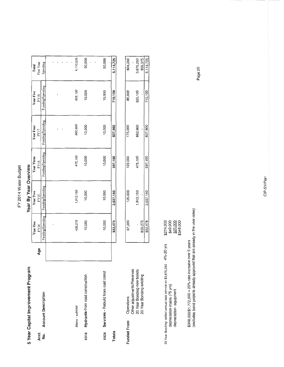## FY 2014 Water Budget

| ļ  |  |
|----|--|
|    |  |
|    |  |
| į  |  |
| LO |  |

|               | 5 Year Capital Improvement Program                      |     |                  | Year By Year Overview |                  |                  |                  |           |
|---------------|---------------------------------------------------------|-----|------------------|-----------------------|------------------|------------------|------------------|-----------|
|               |                                                         |     | Year One         | Year Two              | Year Three       | Year Four        | Year Five        | Total     |
| Acct.         |                                                         | Age | FY14             | FY15                  | FY16             | FY17             | FY18             | Five Year |
| ş             | <b>Account Description</b>                              |     | Funding/Spending | Funding/Spending      | Funding/Spending | Funding/Spending | Funding/Spending | Spending  |
|               |                                                         |     |                  |                       |                  |                  |                  |           |
|               |                                                         |     |                  |                       |                  |                  |                  |           |
|               |                                                         |     |                  |                       |                  |                  |                  |           |
|               |                                                         |     |                  |                       |                  |                  |                  |           |
|               |                                                         |     |                  |                       |                  |                  |                  |           |
|               |                                                         |     |                  |                       |                  |                  |                  |           |
|               | Mains - subtotal                                        |     | 435,275          | 1,912,150             | 475,100          | 662,900          | 625,100          | 4,110,525 |
| 6918          | Hydrants-from road construction                         |     | 10,000           | 10,000                | 10,000           | 10,000           | 10,000           | 50,000    |
|               |                                                         |     |                  |                       |                  |                  |                  |           |
|               |                                                         |     |                  |                       |                  |                  |                  |           |
| 6928          | Services - Rebuild from road const                      |     | 10,000           | 10,000                | 10,000           | 10,000           | 10,000           | 50,000    |
| <b>Totals</b> |                                                         |     | 932,475          | 2,037,150             | 597,100          | 837,900          | 710,100          | 5,114,725 |
|               |                                                         |     |                  |                       |                  |                  |                  |           |
| Funded From:  | Operations                                              |     | 97,200           | 125,000               | 122,000          | 175,000          | 85,000           | 604,200   |
|               | Other adjustments/Reserves<br>20 Year Bonding-new bonds |     |                  | 1,912,150             | 475,100          | 662,900          | 625,100          | 3,675,250 |
|               | 20 Year Bonding-existing                                |     | 835,275          |                       |                  |                  |                  | 835,275   |
|               |                                                         |     | 932,475          | 2,037,150             | 597,100          | 837,900          | 710,100          | 5,114,725 |

| \$274,000                                                           | \$49,000                    | \$25,000               | \$348,000 |
|---------------------------------------------------------------------|-----------------------------|------------------------|-----------|
|                                                                     |                             |                        |           |
| 20 Year Bonding- added annual debt service on \$3,675,250 4%-20 yrs | depreciation mains (75 yrs) | depreciation-equipment |           |

\$348,000/\$1,772,000 = 20% rate increase over 5 years<br>(excludes bond projects already approved that are already in the user rates)

Page 20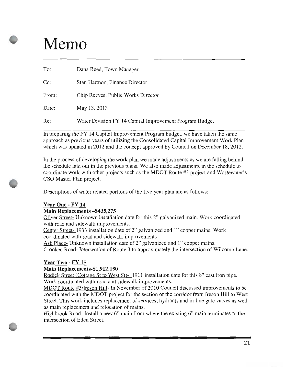### Memo

| To:    | Dana Reed, Town Manager                                 |
|--------|---------------------------------------------------------|
| $Cc$ : | Stan Harmon, Finance Director                           |
| From:  | Chip Reeves, Public Works Director                      |
| Date:  | May 13, 2013                                            |
| Re:    | Water Division FY 14 Capital Improvement Program Budget |

In preparing the FY 14 Capital Improvement Program budget, we have taken the same approach as previous years of utilizing the Consolidated Capital Improvement Work Plan which was updated in 2012 and the concept approved by Council on December 18, 2012.

In the process of developing the work plan we made adjustments as we are falling behind the schedule laid out in the previous plans. We also made adjustments in the schedule to coordinate work with other projects such as the MDOT Route #3 project and Wastewater's CSO Master Plan project.

Descriptions of water related portions of the five year plan are as follows:

### Year One - FY 14

### Main Replacements—\$435,275

Oliver Street- Unknown installation date for this 2" galvanized main. Work coordinated with road and sidewalk improvements.

Center Street- 1933 installation date of 2" galvanized and 1" copper mains. Work coordinated with road and sidewalk improvements.

Ash Place- Unknown installation date of 2" galvanized and 1" copper mains.

Crooked Road- Intersection of Route <sup>3</sup> to approximately the intersection of Wilcomb Lane.

### Year Two - FY 15

### Main Replacements-\$1,912,150

Rodick Street (Cottage St to West St)-1911 installation date for this 8" cast iron pipe. Work coordinated with road and sidewalk improvements.

MDOT Route #3/Ireson Hill- In November of 2010 Council discussed improvements to be coordinated with the MDOT project for the section of the corridor from Ireson Hill to West Street. This work includes replacement of services, hydrants and in-line gate valves as well as main replacement and relocation of mains.

Highbrook Road- Install a new 6" main from where the existing 6" main terminates to the intersection of Eden Street.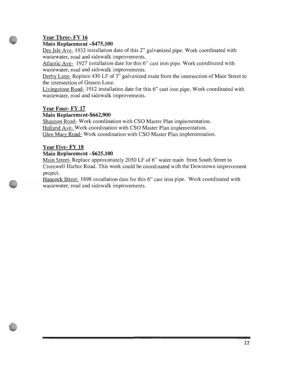### Year Three- FY 16

### Main Replacement—\$475, 100

Des Isle Ave- 1932 installation date of this 2" galvanized pipe. Work coordinated with wastewater, road and sidewalk improvements.

Atlantic Ave- 1927 installation date for this 6" cast iron pipe. Work coordinated with wastewater, road and sidewalk improvements.

Derby Lane- Replace 430 LF of 3" galvanized main from the intersection of Main Street to the intersection of Grason Lane.

Livingstone Road- 1912 installation date for this 6" cast iron pipe. Work coordinated with wastewater, road and sidewalk improvements.

### Year Four- FY 17

### Main Replacement-\$662,900

Shannon Road- Work coordination with CSO Master Plan implementation. Holland Ave- Work coordination with CSO Master Plan implementation. Glen Mary Road- Work coordination with CSO Master Plan implementation.

### Year Five- FY 18

### Main Replacement—\$625, 100

Main Street- Replace approximately 2050 LF of 6" water main from South Street to Cromwell Harbor Road. This work could be coordinated with the Downtown improvement project.

Hancock Street- 1898 installation date for this 6" cast iron pipe. Work coordinated with wastewater, road and sidewalk improvements.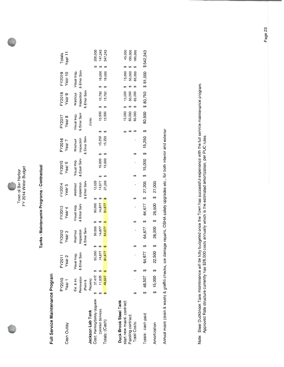| <u>ਰ</u><br>n | ≍<br>φ |
|---------------|--------|
|               |        |

# Tanks - Maintenance Programs - Contractual

## Full Service Maintenance Program

| Cash Outlay                   | <b>CO2A</b> :<br>Year <sub>1</sub> | Year <sub>2</sub><br>FY201. |                  | FY2012<br>Year 3      |                                  | =Y2013<br>Year 4                    | -Y2014<br>Year 5                                     | = Y2015<br>Year 6           |                            | FY2016<br>Year 7           | <b>FY2017</b><br>Year 8     | FY2018<br>Year 9                                         | FY2019<br>Year 10 | Totals<br>Year 11 |
|-------------------------------|------------------------------------|-----------------------------|------------------|-----------------------|----------------------------------|-------------------------------------|------------------------------------------------------|-----------------------------|----------------------------|----------------------------|-----------------------------|----------------------------------------------------------|-------------------|-------------------|
|                               | Ext. & Int.                        |                             |                  |                       |                                  |                                     |                                                      |                             |                            |                            |                             | Washout                                                  | Visual Insp.      |                   |
|                               | Renovation                         | Visual Insp.<br>& Emer Serv |                  | Washout<br>Inspection |                                  | Visual Insp.<br>& Emer Serv         | Washout<br>Inspection                                | Visual Insp.<br>& Emer Serv |                            | Washout<br>Inspection      | Visual Insp.<br>& Emer Serv | Inspection                                               | & Emer Serv       |                   |
|                               | (Paint &                           |                             |                  | Emer Sen              |                                  |                                     | & Emer Serv                                          |                             |                            | & Emer Serv                |                             | & Emer Serv                                              |                   |                   |
| Jackson Lab Tank              | Repairs)                           |                             |                  |                       |                                  |                                     |                                                      |                             |                            |                            | (cola)                      |                                                          |                   |                   |
| Cost: Painting/Safety Upgrade | 37,472                             |                             | 50,000           |                       |                                  |                                     |                                                      |                             |                            |                            |                             |                                                          |                   | 200,000           |
| <b>Contract Services</b>      | 11,035                             |                             | 14,677<br>64,677 |                       | 50,000 :<br>14,677 :<br>64,677 : | 50,000 \$<br>14,677 \$<br>64,677 \$ | $\frac{12,528}{14,677}$ \$<br>14,677 \$<br>27,205 \$ |                             | $15,000$ \$<br>$15,000$ \$ | $15,250$ \$<br>$15,250$ \$ |                             |                                                          |                   | 147,243           |
| Totals: (Cash)                | 48,507                             | 64.                         |                  |                       |                                  |                                     |                                                      |                             |                            |                            |                             | 15,500 \$ 15,750 \$ 16,000<br>15,500 \$ 15,750 \$ 16,000 |                   | 347,243           |
|                               |                                    |                             |                  |                       |                                  |                                     |                                                      |                             |                            |                            |                             |                                                          |                   |                   |

## Duck Brook Steel Tank

| start new maint. contract:<br>ainting contract:<br><b>Total Costs:</b> | G) |  | ω | $\boldsymbol{\varphi}$                            |  |  |  | θĐ |  |  | 50,000 \$ 50,000 \$ 50,000 \$ 150,000<br>65,000 \$ 65,000 \$ 65,000 \$ 195,000<br>$15,000$ \$ $15,000$ \$ $15,000$ \$ |  | 45,000 |  |
|------------------------------------------------------------------------|----|--|---|---------------------------------------------------|--|--|--|----|--|--|-----------------------------------------------------------------------------------------------------------------------|--|--------|--|
| otals: cash paid                                                       |    |  |   |                                                   |  |  |  |    |  |  |                                                                                                                       |  |        |  |
| Amortization                                                           |    |  |   | $$15,000 $5$ 22,500 \$ 26,000 \$ 26,500 \$ 27,000 |  |  |  |    |  |  |                                                                                                                       |  |        |  |
|                                                                        |    |  |   |                                                   |  |  |  |    |  |  |                                                                                                                       |  |        |  |

Annual maint (drain & wash) & graffiti checks, ice damage repairs, OSHA safety upgrades etc., for both interior and exterior

Note: Steel Duckbrook Tank maintenance will be fully budgeted once the Town has successful experience with the full service maintenance program.<br>Approved Rate structure currently has \$26,500 costs annually which is the est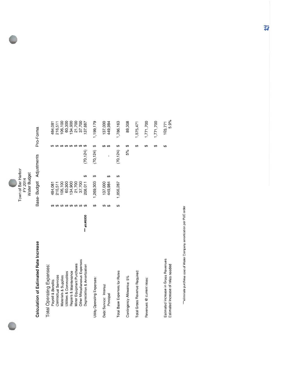

Base-Budget Adjustments Pro-Forma

# Calculation of Estimated Rate Increase

| <b>Total Operating Expenses:</b>                                           |              |                          |           |   |                          |                 |
|----------------------------------------------------------------------------|--------------|--------------------------|-----------|---|--------------------------|-----------------|
| Payroll & Benefits                                                         |              |                          | 484,081   |   | ↮                        | 484,081         |
| Contractual Services                                                       |              |                          | 216,511   |   | ↮                        | 216,511         |
| Materials & Supplies                                                       |              | ↮                        | 106,100   |   | $\theta$                 | 106,100         |
| Utilities & Commodities                                                    |              | ↮                        | 60,300    |   | $\boldsymbol{\varTheta}$ | 60,300          |
| Repairs & Maintenance                                                      |              | $\boldsymbol{\varTheta}$ | 134,900   |   | $\Theta$                 | 134,900         |
| Minor Equipment Purchases                                                  |              | $\boldsymbol{\varTheta}$ | 21,700    |   | ക                        | 21,700          |
| Other Miscellaneous Expenses                                               |              | $\boldsymbol{\varTheta}$ | 37,700    |   | ↮                        | 37,700          |
| Depreciation & Amortization                                                | *** a/c#6000 | ₩                        | 208,011   | ↮ | ↮<br>(70, 124)           | 137,887         |
| Utility Operating Expenses:                                                |              | ↮                        | 1,269,303 | ↮ | ↮<br>(70, 124)           | 1,199,179       |
| Debt Service: Interest                                                     |              | ക                        | 137,000   |   | ↮                        | 137,000         |
| Principal                                                                  |              | ↔                        | 449,984   | ↮ | ₩<br>ı                   | 449,984         |
| Total Base Expenses for Rates                                              |              | ↮                        | 1,856,287 | ↮ | ↔<br>(70, 124)           | 1,786,163       |
| Contingency Allowance: 5%                                                  |              |                          |           |   | ↮<br>5%                  | 89,308          |
| Total Gross Revenue Required:                                              |              |                          |           |   | ↮                        | 1,875,471       |
| Revenues @ current rates:                                                  |              |                          |           |   | ↮                        | 1,771,700       |
|                                                                            |              |                          |           |   | ↮                        | ,771,700        |
| Esitmated Increase in Gross Revenues<br>Estimated Increase of rates needed |              |                          |           |   | ↮                        | 5.9%<br>103,771 |

""eliminate purchase cost of Water Company amortization per PUC order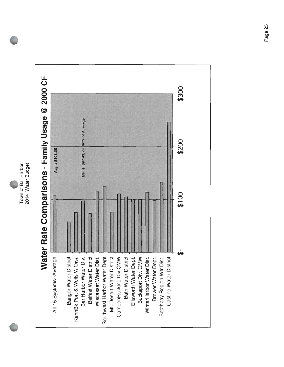2014 Water Budget Town of Bar Harbor

# Water Rate Comparisons - Family Usage @ 2000 CF

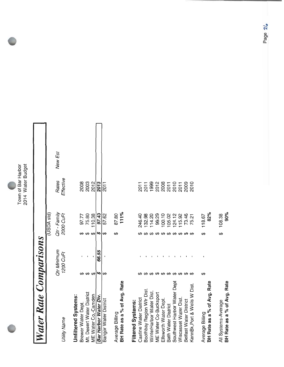

# **Water Rate Comparisons**

|                             |    |                          |    | (USDA std)                |                     |         |  |
|-----------------------------|----|--------------------------|----|---------------------------|---------------------|---------|--|
| <b>Utility Name</b>         |    | Qtr Minimum<br>1200 CuFt |    | Qtr - Family<br>2000 CuFt | Effective<br>Rates  | New Est |  |
| Unfiltered Systems:         |    |                          |    |                           |                     |         |  |
| Brewer Water Dept.          |    |                          |    | 97.77                     | 2008                |         |  |
| Mt. Desert Water District   |    |                          |    | 75.80                     | 2003                |         |  |
| ME Water Co,-Camden         | ക  |                          | ക  | 110.38                    | 2012                |         |  |
| Bar Harbor Water Div.       | 5  | 66.55                    | S) | 97.43                     | 2013                |         |  |
| Bangor Water District       | 66 |                          | ₩  | 57.62                     | 2011                |         |  |
| Average Billing             |    |                          | မာ | 87.80                     |                     |         |  |
| BH Rate as a % of Avg. Rate |    |                          |    | 111%                      |                     |         |  |
| Filtered Systems:           |    |                          |    |                           |                     |         |  |
| Castine Water District      |    |                          |    | 246.40                    | 2011                |         |  |
| Boothbay Region Wtr Dist    |    |                          |    | 132.98                    |                     |         |  |
| WinterHarbor Water Dist.    |    |                          |    | 14.20                     | $\frac{2011}{1999}$ |         |  |
| ME Water Co-Bucksport       |    |                          |    | 99.29                     |                     |         |  |
| Ellsworth Water Dept        |    |                          |    | 100.10                    |                     |         |  |
| Bath Water District         |    |                          |    | 05.02                     | 208110082009        |         |  |
| Southwest Harbor Water Dept |    |                          |    | 124.12                    |                     |         |  |
| Wiscasset Water Dist        |    |                          |    | 15.92                     |                     |         |  |
| Belfast Water District      |    |                          |    | 73.46                     |                     |         |  |
| KennBk, Port & Wells W Dist |    |                          |    | 75.21                     | 2010                |         |  |

| WinterHarbor Water Dist.     |  | 114.20 |  |
|------------------------------|--|--------|--|
| ME Water Co-Bucksport        |  | 99.29  |  |
| Ellsworth Water Dept.        |  | 100.10 |  |
| Bath Water District          |  | 105.02 |  |
| Southwest Harbor Water Dept  |  | 124.12 |  |
| Wiscasset Water Dist.        |  | 115.92 |  |
| Belfast Water District       |  | 73.46  |  |
| KennBk, Port & Wells W Dist. |  | 75.21  |  |
|                              |  |        |  |
| Average Billing              |  | 118.67 |  |
| BH Rate as a % of Avg. Rate  |  | 82%    |  |
| All Systems-Average          |  | 108.38 |  |
| BH Rate as a % of Avg. Rate  |  | 90%    |  |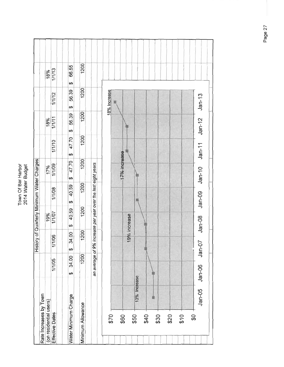| ðār<br>Ú | 2 |
|----------|---|
| ,        |   |

|                        |              |            |      |            |              |        |                                                              | History of Quarterly Minimum Water Charges |                                 |            |              |                                 |
|------------------------|--------------|------------|------|------------|--------------|--------|--------------------------------------------------------------|--------------------------------------------|---------------------------------|------------|--------------|---------------------------------|
| Rate Increases by Town |              |            |      |            |              |        |                                                              |                                            |                                 |            |              |                                 |
| (on residential users) |              |            |      |            |              | 19%    |                                                              | 17%                                        |                                 | 18%        |              | 18%                             |
| Effective Dates        |              | 1/1/05     |      | 11/06      |              | 1/1/07 | 1/1/08                                                       | 1/1/09                                     | 1/1/10                          | 1/1/11     | 1/1/12       | 1/1/13                          |
| Water Minimum Charge   |              | 34.00<br>↮ |      | 34.00<br>↮ | $\Theta$     | 40.59  | 40.59<br>↮                                                   | 47.70<br>$\varphi$                         | 47.70<br>$\boldsymbol{\varphi}$ | 56.39<br>↮ | 56.39<br>\$  | 66.55<br>$\boldsymbol{\varphi}$ |
| Minimum Allowance      |              |            | 1200 | 1200       |              | 1200   | 1200                                                         | 1200                                       | 1200                            | 1200       | 1200         | 1200                            |
|                        |              |            |      |            |              |        | an average of 9% increase per year over the last eight years |                                            |                                 |            |              |                                 |
| \$70                   |              |            |      |            |              |        |                                                              |                                            |                                 |            | 18% Increase |                                 |
|                        |              |            |      |            |              |        |                                                              |                                            |                                 |            |              |                                 |
| \$60                   |              |            |      |            | 19% increase |        |                                                              | 17% increase                               |                                 |            |              |                                 |
| \$50                   | 13% Increase |            |      |            |              |        |                                                              |                                            |                                 |            |              |                                 |
| \$40                   |              |            |      |            |              |        |                                                              |                                            |                                 |            |              |                                 |
| \$30                   |              |            |      |            |              |        |                                                              |                                            |                                 |            |              |                                 |
| \$20<br>610            |              |            |      |            |              |        |                                                              |                                            |                                 |            |              |                                 |
| \$                     |              |            |      |            |              |        |                                                              |                                            |                                 |            |              |                                 |
|                        | $Jan-05$     | $Jan-06$   |      | $Jan-07$   | $Jan-08$     |        | $Jan-09$                                                     | $Jan-10$                                   | $Jan-11$                        | $Jan-12$   | $Jan-13$     |                                 |
|                        |              |            |      |            |              |        |                                                              |                                            |                                 |            |              |                                 |

Page 27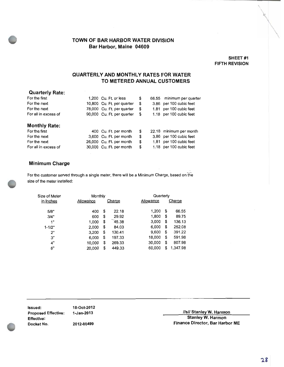### SHEET #1 FIFTH REVISION

### QUARTERLY AND MONTHLY RATES FOR WATER TO METERED ANNUAL CUSTOMERS

|  | \$                                                                                                                                                                                                                          | 66.55 | minimum per quarter     |
|--|-----------------------------------------------------------------------------------------------------------------------------------------------------------------------------------------------------------------------------|-------|-------------------------|
|  | \$                                                                                                                                                                                                                          | 3.86  | per 100 cubic feet      |
|  | \$                                                                                                                                                                                                                          | 1.81  | per 100 cubic feet      |
|  | \$                                                                                                                                                                                                                          |       | 1.18 per 100 cubic feet |
|  |                                                                                                                                                                                                                             |       |                         |
|  | \$                                                                                                                                                                                                                          |       | 22.18 minimum per month |
|  | \$                                                                                                                                                                                                                          |       | 3.86 per 100 cubic feet |
|  | \$                                                                                                                                                                                                                          |       | 1.81 per 100 cubic feet |
|  | \$                                                                                                                                                                                                                          |       | 1.18 per 100 cubic feet |
|  | 1.200 Cu. Ft. or less<br>10,800 Cu. Ft. per quarter<br>78,000 Cu. Ft. per quarter<br>90,000 Cu. Ft. per quarter<br>400 Cu. Ft. per month<br>3,600 Cu. Ft. per month<br>26,000 Cu. Ft. per month<br>30,000 Cu. Ft. per month |       |                         |

### Minimum Charge

For the customer served through a single meter, there will be a Minimum Charge, based on the size of the meter installed:

| Size of Meter | Monthly   |              | Quarterly |                |
|---------------|-----------|--------------|-----------|----------------|
| in Inches     | Allowance | Charge       | Allowance | Charge         |
| 5/8"          | 400       | \$<br>22.18  | 1,200     | \$<br>66.55    |
| 3/4"          | 600       | \$<br>29.92  | 1,800     | \$<br>89.75    |
| 1"            | 1,000     | \$<br>45.38  | 3,000     | \$<br>136.13   |
| $1 - 1/2"$    | 2,000     | \$<br>84.03  | 6,000     | \$<br>252.08   |
| 2"            | 3,200     | \$<br>130.41 | 9.600     | \$<br>391.22   |
| 3"            | 6,000     | \$<br>197.33 | 18,000    | \$<br>591.98   |
| 4"            | 10,000    | \$<br>269.33 | 30,000    | \$<br>807.98   |
| 6"            | 20,000    | \$<br>449.33 | 60,000    | \$<br>1.347.98 |

| lssued:             | 18-Oct-2012 |
|---------------------|-------------|
| Proposed Effective: | 1-Jan-2013  |
| Effective:          |             |
| Docket No.          | 2012-00499  |

Proposed Effective: 15 and 2013 stanley W. Harmon Stanley W. Harmon external politics of Finance Director, Bar Harbor ME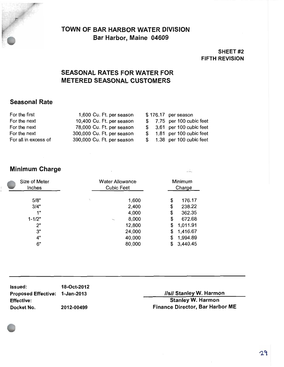

### SHEET #2 FIFTH REVISION

### SEASONAL RATES FOR WATER FOR METERED SEASONAL CUSTOMERS

### Seasonal Rate

| For the first        | 1,600 Cu. Ft. per season   |  | \$176.17 per season        |
|----------------------|----------------------------|--|----------------------------|
| For the next         | 10,400 Cu. Ft. per season  |  | \$7.75 per 100 cubic feet  |
| For the next         | 78,000 Cu. Ft. per season  |  | $$3.61$ per 100 cubic feet |
| For the next         | 300,000 Cu. Ft. per season |  | \$ 1.81 per 100 cubic feet |
| For all in excess of | 390,000 Cu. Ft. per season |  | \$ 1.38 per 100 cubic feet |

### Minimum Charge

| Size of Meter<br>Inches | <b>Water Allowance</b><br><b>Cubic Feet</b> |    | Minimum<br>Charge |
|-------------------------|---------------------------------------------|----|-------------------|
| 5/8"                    | 1,600                                       | \$ | 176.17            |
| 3/4"                    | 2,400                                       | \$ | 238.22            |
| 1"                      | 4,000                                       | \$ | 362.35            |
| $1 - 1/2"$              | 8,000                                       | \$ | 672.68            |
| 2"                      | 12,800                                      | \$ | 1,011.91          |
| 3"                      | 24,000                                      | \$ | 1,416.67          |
| 4"                      | 40,000                                      | \$ | 1,994.89          |
| 6"                      | 80,000                                      | S  | 3,440.45          |

| <b>Issued:</b>                 | 18-Oct-2012 |                                    |
|--------------------------------|-------------|------------------------------------|
| Proposed Effective: 1-Jan-2013 |             | <b>IsII Stanley W. Harmor</b>      |
| <b>Effective:</b>              |             | <b>Stanley W. Harmon</b>           |
| Docket No.                     | 2012-00499  | <b>Finance Director, Bar Harbo</b> |

 $\frac{1}{2}$ 

Finance Director, Bar Harbor ME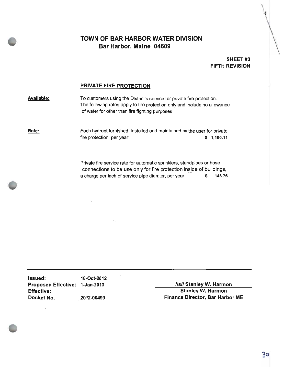### SHEET<sub>#3</sub> FIFTH REVISION

### PRIVATE FIRE PROTECTION

**Available:** To customers using the District's service for private fire protection. The following rates apply to fire protection only and include no allowance of water for other than fire fighting purposes.

fir

Rate: Each hydrant furnished, installed and maintained by the user for private fire protection, per year: 1,190.11

> Private fire service rate for automatic sprinklers, standpipes or hose connections to be use only for fire protection inside of buildings, a charge per inch of service pipe diamter, per year:  $$ 148.76$

Issued: 18-Oct-2012 Proposed Effective: 1-Jan-2013 and the same system of the USI/ Stanley W. Harmon Effective: Stanley W. Harmon

Docket No. 2012- 00499 Finance Director, Bar Harbor ME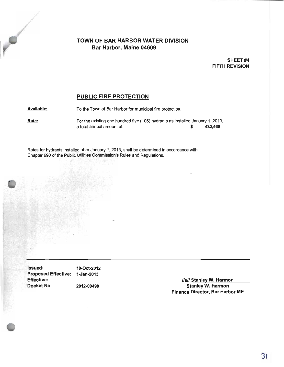SHEET #4 FIFTH REVISION

### PUBLIC FIRE PROTECTION

Available: To the Town of Bar Harbor for municipal fire protection.

Rate: For the existing one hundred five (105) hydrants as installed January 1, 2013, a total annual amount of: 480,468

Rates for hydrants installed after January 1, 2013, shall be determined in accordance with Chapter 690 of the Public Utilities Commission's Rules and Regulations.

**Issued:** 18-Oct-2012 Proposed Effective: 1-Jan-2013 Effective: s// Stanley W. Harmon

**No.** 

2012-00499 Stanley W. Harmon Finance Director, Bar Harbor ME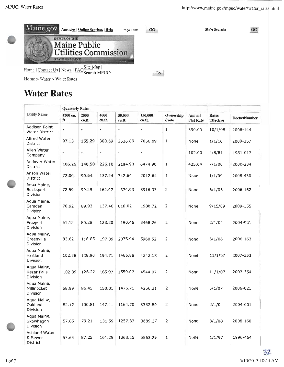

### Water Rates

|                                               | <b>Quarterly Rates</b> |                          |                |                  |                   |                   |                            |                                  |              |
|-----------------------------------------------|------------------------|--------------------------|----------------|------------------|-------------------|-------------------|----------------------------|----------------------------------|--------------|
| <b>Utility Name</b>                           | 1200 cu.<br>ft.        | 2000<br>cu.ft.           | 4000<br>cu.ft. | 50,000<br>cu.ft. | 150,000<br>cu.ft. | Ownership<br>Code | Annual<br><b>Flat Rate</b> | <b>Rates</b><br><b>Effective</b> | DocketNumber |
| Addison Point<br><b>Water District</b>        | -                      |                          |                |                  |                   | $\mathbf{1}$      | 390.00                     | 10/1/08                          | 2008-144     |
| Alfred Water<br>District                      | 97.13                  | 155.29                   | 300.69         | 2536.89          | 7056.89           | $\mathbf 1$       | None                       | 1/1/10                           | 2009-357     |
| Allen Water<br>Company                        | ×                      | $\overline{\phantom{a}}$ |                | L                |                   |                   | 102.00                     | 4/8/81                           | 1981-017     |
| Andover Water<br>District                     | 106.26                 | 140.50                   | 226.10         | 2194.90          | 6474.90           | $\mathbf 1$       | 425.04                     | 7/1/00                           | 2000-234     |
| Anson Water<br><b>District</b>                | 72.00                  | 90.64                    | 137.24         | 742.64           | 2012.64           | $\mathbf 1$       | None                       | 1/1/09                           | 2008-430     |
| Aqua Maine,<br><b>Bucksport</b><br>Division   | 72.59                  | 99.29                    | 162.07         | 1374.93          | 3916.33           | 2                 | None                       | 6/1/06                           | 2006-162     |
| Aqua Maine,<br>Camden<br>Division             | 70.92                  | 89.93                    | 137.46         | 810.02           | 1980.72           | $\overline{2}$    | None                       | 9/15/09                          | 2009-155     |
| Aqua Maine,<br>Freeport<br>Division           | 61.12                  | 80.28                    | 128.20         | 1190.46          | 3468.26           | 2                 | None                       | 2/1/04                           | 2004-001     |
| Aqua Maine,<br>Greenville<br>Division         | 83.62                  | 116.85                   | 197.39         | 2035.04          | 5960.52           | 2                 | None                       | 6/1/06                           | 2006-163     |
| Aqua Maine,<br>Hartland<br>Division           | 102.58                 | 128.90                   | 194.71         | 1566.88          | 4242.18           | 2                 | None                       | 11/1/07                          | 2007-353     |
| Aqua Maine,<br><b>Kezar Falls</b><br>Division | 102.39                 | 126.27                   | 185.97         | 1559.07          | 4544.07           | 2                 | None                       | 11/1/07                          | 2007-354     |
| Aqua Maine,<br>Millinocket<br>Division        | 68.99                  | 86.45                    | 150.01         | 1476.71          | 4256.21           | $\overline{2}$    | None                       | 6/1/07                           | 2006-021     |
| Aqua Maine,<br>Oakland<br>Division            | 82.17                  | 100.81                   | 147.41         | 1164.70          | 3332.80           | 2                 | None                       | 2/1/04                           | 2004-001     |
| Agua Maine,<br>Skowhegan<br>Division          | 57.65                  | 79.21                    | 131.59         | 1257.37          | 3689.37           | 2                 | None                       | 8/1/08                           | 2008-160     |
| Ashland Water<br>& Sewer<br>District          | 57.65                  | 87.25                    | 161.25         | 1863.25          | 5563.25           | 1                 | None                       | 1/1/97                           | 1996-464     |

 $\mathbb{C}$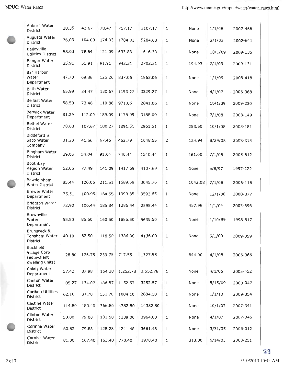| Auburn Water<br><b>District</b>                                    | 28.35  | 42.67  | 78.47  | 757.17   | 2107.17  | 1              | None    | 1/1/08  | 2007-466 |
|--------------------------------------------------------------------|--------|--------|--------|----------|----------|----------------|---------|---------|----------|
| Augusta Water<br>District                                          | 76.03  | 104.03 | 174.03 | 1784.03  | 5284.03  | $1\,$          | None    | 2/1/03  | 2002-641 |
| Baileyville<br>Utilities District                                  | 58.03  | 78.64  | 121.09 | 633.83   | 1616.33  | 1              | None    | 10/1/09 | 2009-135 |
| Bangor Water<br>District                                           | 35.91  | 51.91  | 91.91  | 942.31   | 2702.31  | $\mathbf{1}$   | 194.93  | 7/1/09  | 2009-131 |
| Bar Harbor<br>Water<br>Department                                  | 47.70  | 69.86  | 125.26 | 837.06   | 1863.06  | $1\,$          | None    | 1/1/09  | 2008-418 |
| <b>Bath Water</b><br><b>District</b>                               | 65.99  | 84.47  | 130.67 | 1193.27  | 3329.27  | $\mathbf{1}$   | None    | 4/1/07  | 2006-368 |
| <b>Belfast Water</b><br>District                                   | 58.50  | 73.46  | 110.86 | 971.06   | 2841.06  | $\mathbf{1}$   | None    | 10/1/09 | 2009-230 |
| Berwick Water<br>Department                                        | 81.29  | 112.09 | 189.09 | 1178.09  | 3188.09  | $1\,$          | None    | 7/1/08  | 2008-149 |
| <b>Bethel Water</b><br>District                                    | 78.63  | 107.67 | 180.27 | 1091.51  | 2961.51  | $\mathbf{1}$   | 253.60  | 10/1/08 | 2008-181 |
| Biddeford &<br>Saco Water<br>Company                               | 31.20  | 41.56  | 67.46  | 452.79   | 1048.55  | $\overline{2}$ | 124.94  | 8/29/08 | 2008-315 |
| Bingham Water<br>District                                          | 39.00  | 54.04  | 91.64  | 740.44   | 1540.44  | $1\,$          | 161.00  | 7/1/06  | 2005-612 |
| Boothbay<br>Region Water<br>District                               | 52.05  | 77.49  | 141.09 | 1417.69  | 4107.69  | $1\,$          | None    | 5/8/97  | 1997-222 |
| Bowdoinham<br>Water District                                       | 85.44  | 126.06 | 211.51 | 1689.59  | 3045.76  | $1\,$          | 1042.08 | 7/1/06  | 2006-116 |
| Brewer Water<br>Department                                         | 75.51  | 100.95 | 164.55 | 1399.85  | 3593.85  | $1\,$          | None    | 12/1/08 | 2008-377 |
| <b>Bridgton Water</b><br><b>District</b>                           | 72.92  | 106.44 | 185.84 | 1286.44  | 2595.44  | 1              | 457.96  | 1/1/04  | 2003-696 |
| Brownville<br>Water<br>Department                                  | 55.50  | 85.50  | 160.50 | 1885.50  | 5635.50  | $\mathbf{1}$   | None    | 1/10/99 | 1998-817 |
| Brunswick &<br>Topsham Water<br>District                           | 40.10  | 62.50  | 118.50 | 1386.00  | 4136.00  | 1              | None    | 5/1/09  | 2009-059 |
| <b>Buckfield</b><br>Village Corp<br>(equivalent<br>dwelling units) | 128.80 | 176.75 | 239.75 | 717.55   | 1327.55  |                | 644.00  | 4/1/08  | 2006-366 |
| Calais Water<br>Department                                         | 57.42  | 87.98  | 164.38 | 1,252.78 | 3,552.78 | $\mathbf{1}$   | None    | 4/1/06  | 2005-452 |
| Canton Water<br>District                                           | 105.27 | 134.07 | 186.57 | 1152.57  | 3252.57  | 1              | None    | 5/15/09 | 2009-047 |
| Caribou Utilities<br>District                                      | 62.10  | 87.70  | 151.70 | 1084.10  | 2684.10  | 1              | None    | 1/1/10  | 2009-354 |
| Castine Water<br><b>District</b>                                   | 114.80 | 180.40 | 366.80 | 4782.80  | 14382.80 | 1              | None    | 10/1/07 | 2007-341 |
| Clinton Water<br>District                                          | 58.00  | 79.00  | 131.50 | 1339.00  | 3964.00  | 1              | None    | 4/1/07  | 2007-046 |
| Corinna Water<br>District                                          | 60.52  | 79.88  | 128.28 | 1241.48  | 3661.48  | 1              | None    | 3/31/05 | 2005-012 |
| Cornish Water<br><b>District</b>                                   | 81.00  | 107.40 | 163.40 | 770.40   | 1970.40  | 1              | 313.00  | 6/14/03 | 2003-251 |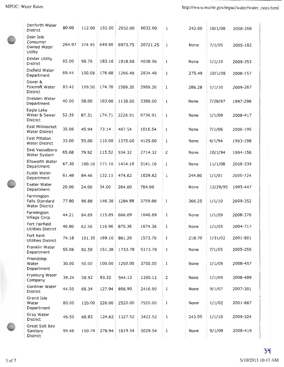| Danforth Water<br>District                            | 80.00  | 112.00 | 192.00 | 2032.00 | 6032.00  | 1              | 242.00 | 10/1/08  | 2008-268 |
|-------------------------------------------------------|--------|--------|--------|---------|----------|----------------|--------|----------|----------|
| Deer Isle<br>Consumer<br>Owned Water<br>Utility       | 264.97 | 374.95 | 649.90 | 6973.75 | 20721.25 | 1              | None   | 7/1/05   | 2005-182 |
| Dexter Utility<br>District                            | 65.00  | 98.76  | 183.16 | 1918.56 | 4038.56  | 1              | None   | 1/1/10   | 2009-353 |
| Dixfield Water<br>Department                          | 69.44  | 100.08 | 176.68 | 1266.48 | 2834.48  | 1              | 275.49 | 10/1/08  | 2008-157 |
| Dover &<br>Foxcroft Water<br>District                 | 83.42  | 109.50 | 174.70 | 1589.30 | 3969.30  | $\mathbf{1}$   | 286.28 | 1/1/10   | 2009-267 |
| Dresden Water<br>Department                           | 40.00  | 58.00  | 103.00 | 1138.00 | 3388.00  | $\mathbf{1}$   | None   | 7/28/97  | 1997-296 |
| Eagle Lake<br>Water & Sewer<br>District               | 52.39  | 87.31  | 174.71 | 2226.91 | 6736.91  | $\mathbf{1}$   | None   | 1/1/09   | 2008-417 |
| East Millinocket<br><b>Water District</b>             | 35.06  | 45.94  | 73.14  | 487.54  | 1016.54  | 1              | None   | 7/1/06   | 2006-195 |
| East Pittston<br><b>Water District</b>                | 33.00  | 55.00  | 110.00 | 1375.00 | 4125.00  | $\mathbf{1}$   | None   | 4/1/94   | 1993-198 |
| East Vassalboro<br>Water System                       | 65.68  | 79.92  | 115.52 | 934.32  | 2714.32  |                | None   | 10/1/94  | 1994-156 |
| Ellsworth Water<br>Department                         | 67.30  | 100.10 | 171.10 | 1414.10 | 3141.10  | $\mathbf{1}$   | None   | 11/1/08  | 2008-339 |
| Eustis Water<br>Department                            | 61.48  | 84.46  | 132.11 | 474.62  | 1029.62  | 1              | 244,80 | 1/1/01   | 2000-724 |
| Exeter Water<br>Department                            | 20.00  | 24.00  | 34.00  | 264.00  | 764.00   |                | None   | 12/29/95 | 1995-447 |
| Farmington<br>Falls Standard<br><b>Water District</b> | 77.80  | 96.88  | 146.38 | 1284.88 | 3759.88  | 1              | 366.25 | 1/1/10   | 2009-352 |
| Farmington<br>Village Corp.                           | 44.21  | 64.69  | 115.89 | 666.69  | 1646.69  | 1              | None   | 1/1/09   | 2008-376 |
| Fort Fairfield<br>Utilities District                  | 40.80  | 62.56  | 116.96 | 875.36  | 1674.36  | 1              | None   | 1/1/05   | 2004-717 |
| Fort Kent<br><b>Utilities District</b>                | 74.18  | 101.30 | 169.10 | 861.20  | 1573.70  | 1              | 218.70 | 1/31/02  | 2001-801 |
| Franklin Water<br>Department                          | 55.06  | 82.58  | 151.38 | 1733.78 | 5173.78  | $1\,$          | None   | 7/1/05   | 2005-255 |
| Friendship<br>Water<br>Department                     | 30.00  | 50.00  | 100.00 | 1250.00 | 3750.00  | $\mathbf{1}$   | None   | 1/1/09   | 2008-457 |
| Fryeburg Water<br>Company                             | 39.24  | 58.92  | 93.32  | 544.12  | 1290.12  | $\overline{2}$ | None   | 1/1/09   | 2008-489 |
| Gardiner Water<br>District                            | 44.50  | 68.34  | 127.94 | 856.90  | 2416.90  | 1              | None   | 9/1/07   | 2007-301 |
| Grand Isle<br>Water<br>Department                     | 80.00  | 120.00 | 220.00 | 2520.00 | 7520.00  | 1              | None   | 1/1/02   | 2001-667 |
| Gray Water<br>District                                | 46.50  | 68.82  | 124.62 | 1327.52 | 3422.52  | $\mathbf 1$    | 243.05 | 1/1/10   | 2009-324 |
| Great Salt Bay<br>Sanitary<br>District                | 99.46  | 150.74 | 278.94 | 1819.54 | 5029.54  | 1              | None   | 9/1/09   | 2008-419 |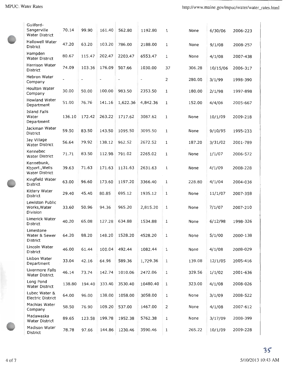| Guilford-<br>Sangerville<br><b>Water District</b>     | 70.14  | 99.90                    | 161.40                   | 562.80                   | 1192.80                  | $\mathbf 1$    | None   | 6/30/06  | 2006-223 |
|-------------------------------------------------------|--------|--------------------------|--------------------------|--------------------------|--------------------------|----------------|--------|----------|----------|
| <b>Hallowell Water</b><br><b>District</b>             | 47.20  | 63.20                    | 103.20                   | 786.00                   | 2188.00                  | 1              | None   | 9/1/08   | 2008-257 |
| Hampden<br><b>Water District</b>                      | 80.67  | 115.47                   | 202.47                   | 2203.47                  | 6553.47                  | 1              | None   | 4/1/08   | 2007-438 |
| Harrison Water<br>District                            | 74.09  | 103.36                   | 176.09                   | 507.66                   | 1030.00                  | 37             | 306.28 | 10/15/06 | 2006-317 |
| Hebron Water<br>Company                               |        | $\overline{\phantom{a}}$ | $\overline{\phantom{a}}$ | $\overline{\phantom{a}}$ | $\overline{\phantom{a}}$ | $\overline{2}$ | 280.00 | 3/1/99   | 1998-390 |
| Houlton Water<br>Company                              | 30.00  | 50.00                    | 100.00                   | 983.50                   | 2353.50                  | 1              | 180.00 | 2/1/98   | 1997-898 |
| Howland Water<br>Department                           | 51.00  | 76.76                    | 141.16                   | 1,622.36                 | 4,842.36                 | 1              | 152.00 | 4/4/06   | 2005-667 |
| <b>Island Falls</b><br>Water<br>Department            | 136.10 | 172.42                   | 263.22                   | 1717.62                  | 3087.62                  | $\mathbf{1}$   | None   | 10/1/09  | 2009-218 |
| Jackman Water<br>District                             | 59.50  | 83.50                    | 143.50                   | 1095.50                  | 3095.50                  | $\mathbf{1}$   | None   | 9/10/95  | 1995-233 |
| Jay Village<br><b>Water District</b>                  | 56.64  | 79.92                    | 138.12                   | 962.52                   | 2672.52                  | 1              | 187.20 | 3/31/02  | 2001-789 |
| Kennebec<br><b>Water District</b>                     | 71.71  | 83.50                    | 112.98                   | 791.02                   | 2265.02                  | $\mathbf{1}$   | None   | 1/1/07   | 2006-572 |
| Kennebunk,<br>Kbport., Wells<br><b>Water District</b> | 39.63  | 71.63                    | 171.63                   | 1131.63                  | 2631.63                  | $\mathbf{1}$   | None   | 4/1/09   | 2008-228 |
| Kingfield Water<br>District                           | 63.00  | 96.60                    | 173.60                   | 1197.20                  | 3366.40                  | 1              | 228.80 | 4/1/04   | 2004-036 |
| Kittery Water<br><b>District</b>                      | 29.40  | 45.40                    | 80.85                    | 695.12                   | 1935.12                  | 1              | None   | 11/1/07  | 2007-358 |
| Lewiston Public<br>Works, Water<br>Division           | 33.60  | 50.96                    | 94.36                    | 965.20                   | 2,815.20                 | 1              | None   | 7/1/07   | 2007-210 |
| Limerick Water<br><b>District</b>                     | 40.20  | 65.08                    | 127.28                   | 634.88                   | 1534.88                  | 1              | None   | 6/12/98  | 1998-326 |
| Limestone<br>Water & Sewer<br>District                | 64.20  | 88.20                    | 148.20                   | 1528.20                  | 4528.20                  | 1              | None   | 5/1/00   | 2000-138 |
| Lincoln Water<br>District                             | 46.00  | 61.44                    | 100.04                   | 492.44                   | 1082.44                  | 1              | None   | 4/1/08   | 2008-029 |
| Lisbon Water<br>Department                            | 33.04  | 42.16                    | 64.96                    | 589.36                   | 1,729.36                 | 1              | 139.08 | 12/1/05  | 2005-416 |
| Livermore Falls<br><b>Water District</b>              | 46.14  | 73.74                    | 142.74                   | 1010.06                  | 2472.06                  | $\mathbf{1}$   | 329.56 | 1/1/02   | 2001-636 |
| Long Pond<br><b>Water District</b>                    | 138.80 | 194.40                   | 333.40                   | 3530.40                  | 10480.40                 | $\mathbf{1}$   | 323.00 | 4/1/08   | 2008-026 |
| Lubec Water &<br><b>Electric District</b>             | 64.00  | 96.00                    | 138.00                   | 1058.00                  | 3058.00                  | 1              | None   | 3/1/09   | 2008-522 |
| Machias Water<br>Company                              | 58.50  | 76.90                    | 109.20                   | 537.00                   | 1467.00                  | 2              | None   | 4/1/08   | 2007-612 |
| Madawaska<br><b>Water District</b>                    | 89.65  | 123.58                   | 199.78                   | 1952.38                  | 5762.38                  | 1              | None   | 3/17/09  | 2008-399 |
| Madison Water<br><b>Dictrict</b>                      | 78.78  | 97.66                    | 144.86                   | 1230.46                  | 3590.46                  | $1\,$          | 265.22 | 10/1/09  | 2009-228 |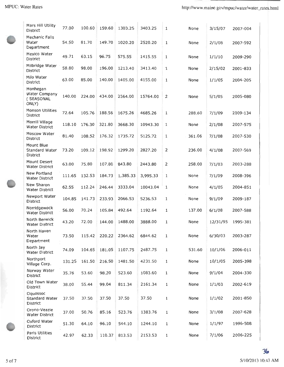| Mars Hill Utility<br>District                   | 77.00  | 100.60 | 159.60 | 1303.25  | 3403.25  | $\mathbf{1}$   | None   | 3/15/07  | 2007-004 |
|-------------------------------------------------|--------|--------|--------|----------|----------|----------------|--------|----------|----------|
| Mechanic Falls<br>Water<br>Department           | 54.50  | 81.70  | 149.70 | 1020.20  | 2520.20  | $\mathbf{1}$   | None   | 2/1/08   | 2007-592 |
| Mexico Water<br>District                        | 49.71  | 63.15  | 96.75  | 575.55   | 1415.55  | 1              | None   | 1/1/10   | 2009-290 |
| Milbridge Water<br><b>District</b>              | 58.80  | 98.00  | 196.00 | 1213.40  | 3413.40  | 1              | None   | 2/15/02  | 2001-833 |
| Milo Water<br>District                          | 63.00  | 85.00  | 140.00 | 1405.00  | 4155.00  | 1              | None   | 1/1/05   | 2004-205 |
| Monhegan<br>Water Company<br>(SEASONAL<br>ONLY) | 140.00 | 224.00 | 434.00 | 2564.00  | 15764.00 | 2              | None   | 5/1/05   | 2005-080 |
| Monson Utilities<br>District                    | 72.64  | 105.76 | 188.56 | 1675.26  | 4685.26  | $\mathbf 1$    | 288.60 | 7/1/09   | 2009-134 |
| Morrill Village<br><b>Water District</b>        | 118.10 | 176.30 | 321.80 | 3668.30  | 10943.30 | 1              | None   | 2/1/08   | 2007-575 |
| Moscow Water<br>District                        | 81.40  | 108.52 | 176.32 | 1735.72  | 5125.72  | $\mathbf{1}$   | 361.06 | 7/1/08   | 2007-530 |
| Mount Blue<br>Standard Water<br>District        | 73.20  | 109.12 | 198.92 | 1299.20  | 2827.20  | 2              | 236.00 | 4/1/08   | 2007-569 |
| Mount Desert<br><b>Water District</b>           | 63.00  | 75.80  | 107.80 | 843.80   | 2443.80  | $\overline{2}$ | 258.00 | 7/1/03   | 2003-288 |
| New Portland<br><b>Water District</b>           | 111.65 | 132.53 | 184.73 | 1,385.33 | 3,995.33 | 1              | None   | 7/1/09   | 2008-396 |
| New Sharon<br><b>Water District</b>             | 62.55  | 112.24 | 246.44 | 3333.04  | 10043.04 | 1              | None   | 4/1/05   | 2004-851 |
| Newport Water<br>District                       | 104.85 | 141.73 | 233.93 | 2066.53  | 5236.53  | 1              | None   | 9/1/09   | 2009-187 |
| Norridgewock<br><b>Water District</b>           | 56.00  | 70.24  | 105.84 | 492.64   | 1192.64  | 1              | 137.00 | 6/1/08   | 2007-588 |
| North Berwick<br>Water District                 | 43.20  | 72.00  | 144.00 | 1488.00  | 3888.00  | 1              | None   | 12/31/95 | 1995-381 |
| North Haven<br>Water<br>Department              | 73.50  | 115.42 | 220.22 | 2364.62  | 6844.62  | 1              | None   | 6/30/03  | 2003-287 |
| North Jay<br><b>Water District</b>              | 74.09  | 104.65 | 181.05 | 1107.75  | 2487.75  | 1              | 531.60 | 10/1/06  | 2006-011 |
| Northport<br>Village Corp.                      | 131.25 | 161.50 | 216.50 | 1481.50  | 4231.50  | 1              | None   | 10/1/05  | 2005-398 |
| Norway Water<br>District                        | 35.76  | 53.60  | 98.20  | 523.60   | 1083.60  | 1              | None   | 9/1/04   | 2004-330 |
| Old Town Water<br>District                      | 38.00  | 55.44  | 99.04  | 811.34   | 2161.34  | 1              | None   | 1/1/03   | 2002-619 |
| Oquossoc<br>Standard Water<br>District          | 37.50  | 37.50  | 37.50  | 37.50    | 37.50    | $\mathbf{1}$   | None   | 1/1/02   | 2001-850 |
| Orono-Veazie<br><b>Water District</b>           | 37.00  | 50.76  | 85.16  | 523.76   | 1383.76  | 1              | None   | 3/1/08   | 2007-628 |
| Oxford Water<br>District                        | 51.30  | 64.10  | 96.10  | 544.10   | 1244.10  | 1              | None   | 1/1/97   | 1996-508 |
| Paris Utilities<br>District                     | 42.97  | 62.33  | 110.37 | 813.53   | 2153.53  | 1              | None   | 7/1/06   | 2006-225 |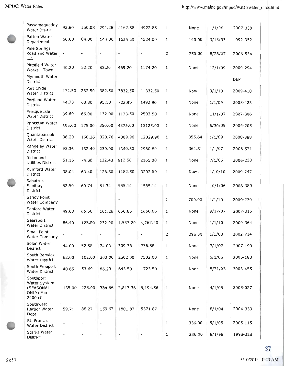lir

| Passamaquoddy<br>Water District                                | 93.60                    | 150.08 | 291.28                   | 2162.88                  | 4922.88                  | $\mathbf{1}$   | None   | 1/1/08  | 2007-338   |
|----------------------------------------------------------------|--------------------------|--------|--------------------------|--------------------------|--------------------------|----------------|--------|---------|------------|
| Patten Water<br>Department                                     | 60.00                    | 84.00  | 144.00                   | 1524.00                  | 4524.00                  | 1              | 140.00 | 3/13/93 | 1992-352   |
| Pine Springs<br>Road and Water -<br>LLC                        |                          |        | $\overline{\phantom{a}}$ | L,                       | $\overline{\phantom{a}}$ | $\overline{2}$ | 750.00 | 8/28/07 | 2006-534   |
| Pittsfield Water<br>Works - Town                               | 40.20                    | 52.20  | 82.20                    | 469.20                   | 1174.20                  | $\mathbf{1}$   | None   | 12/1/09 | 2009-294   |
| Plymouth Water<br><b>District</b>                              |                          |        |                          |                          |                          |                |        |         | <b>DEP</b> |
| Port Clyde<br>Water District                                   | 172.50                   | 232.50 | 382.50                   | 3832.50                  | 11332.50                 | 1              | None   | 3/1/10  | 2009-418   |
| Portland Water<br>District                                     | 44.70                    | 60.30  | 95.10                    | 722.90                   | 1492.90                  | 1              | None   | 1/1/09  | 2008-423   |
| Presque Isle<br><b>Water District</b>                          | 39.60                    | 66.00  | 132.00                   | 1173.50                  | 2593.50                  | 1              | None   | 11/1/07 | 2007-306   |
| Princeton Water<br>District                                    | 105.00                   | 175.00 | 350.00                   | 4375.00                  | 13125.00                 | 1              | None   | 6/30/09 | 2009-205   |
| Quantabacook<br>Water District                                 | 96.20                    | 160.36 | 320.76                   | 4009.96                  | 12029.96                 | 1              | 355.64 | 1/1/09  | 2008-388   |
| Rangeley Water<br>District                                     | 93.36                    | 132.40 | 230.00                   | 1340.80                  | 2980.80                  | 1              | 361.81 | 1/1/07  | 2006-571   |
| Richmond<br><b>Utilities District</b>                          | 51.16                    | 74.38  | 132.43                   | 912.58                   | 2165.08                  | 1              | None   | 7/1/06  | 2006-238   |
| Rumford Water<br>District                                      | 38.04                    | 63.40  | 126.80                   | 1182.50                  | 3202.50                  | 1              | None   | 1/10/10 | 2009-247   |
| Sabattus<br>Sanitary<br>District                               | 52.50                    | 60.74  | 81.34                    | 555.14                   | 1585.14                  | 1              | None   | 10/1/06 | 2006-380   |
| Sandy Point<br>Water Company                                   |                          |        | $\overline{\phantom{a}}$ | $\overline{\phantom{m}}$ | $\overline{\phantom{a}}$ | $\overline{2}$ | 700.00 | 1/1/10  | 2009-270   |
| Sanford Water<br>District                                      | 49.68                    | 66.56  | 101.26                   | 656.86                   | 1666.86                  | $\mathbf{1}$   | None   | 9/17/07 | 2007-316   |
| Searsport<br><b>Water District</b>                             | 86.40                    | 128.00 | 232.00                   | 1,537.20                 | 4,267.20                 | 1              | None   | 1/1/10  | 2009-364   |
| Small Point<br>Water Company                                   | $\overline{\phantom{a}}$ |        |                          | ۰                        | $\overline{\phantom{0}}$ | 2              | 396.00 | 1/1/03  | 2002-714   |
| Solon Water<br>District                                        | 44.00                    | 52.58  | 74.03                    | 309.38                   | 736.88                   | $\mathbf{1}$   | None   | 7/1/07  | 2007-199   |
| South Berwick<br>Water District                                | 62.00                    | 102.00 | 202.00                   | 2502.00                  | 7502.00                  | $\mathbf 1$    | None   | 6/1/05  | 2005-188   |
| South Freeport<br>Water District                               | 40.65                    | 53.69  | 86.29                    | 643.59                   | 1723.59                  | 1              | None   | 8/31/03 | 2003-455   |
| Southport<br>Water System<br>(SEASONAL<br>ONLY) Min<br>2400 cf | 135.00                   | 225.00 | 384.56                   | 2,817.36                 | 5,194.56                 | $\mathbf{1}$   | None   | 4/1/05  | 2005-027   |
| Southwest<br>Harbor Water<br>Dept.                             | 59.71                    | 88.27  | 159.67                   | 1801.87                  | 5371.87                  | $\mathbf{1}$   | None   | 8/1/04  | 2004-333   |
| St. Francis<br><b>Water District</b>                           |                          |        | $\overline{\phantom{a}}$ | $\overline{\phantom{a}}$ |                          | 1              | 336.00 | 5/1/05  | 2005-115   |
| Starks Water<br>District                                       |                          |        | $\overline{\phantom{0}}$ |                          | $\overline{\phantom{0}}$ | $\mathbf{1}$   | 236.00 | 8/1/98  | 1998-328   |

tily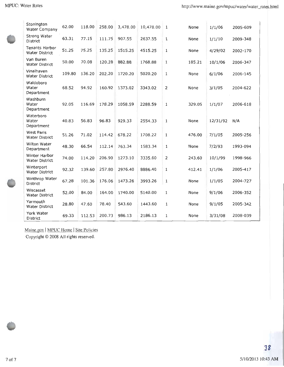| Stonington<br>Water Company            | 62.00  | 118.00 | 258.00 | 3,478.00 | 10,478.00 | 1              | None   | 1/1/06   | 2005-609 |
|----------------------------------------|--------|--------|--------|----------|-----------|----------------|--------|----------|----------|
| Strong Water<br>District               | 63.31  | 77.15  | 111.75 | 907.55   | 2637.55   | 1              | None   | 1/1/10   | 2009-348 |
| Tenants Harbor<br>Water District       | 51.25  | 75.25  | 135.25 | 1515.25  | 4515.25   | 1              | None   | 4/29/02  | 2002-170 |
| Van Buren<br>Water District            | 50.00  | 70.08  | 120.28 | 882.88   | 1768.88   | 1              | 185.21 | 10/1/06  | 2006-347 |
| Vinalhaven<br>Water District           | 109.80 | 136.20 | 202.20 | 1720.20  | 5020.20   | 1              | None   | 6/1/06   | 2006-145 |
| Waldoboro<br>Water<br>Department       | 68.52  | 94.92  | 160.92 | 1373.02  | 3343.02   | $\overline{2}$ | None   | 3/1/05   | 2004-622 |
| Washburn<br>Water<br>Department        | 92.05  | 116.69 | 178.29 | 1058.59  | 2288.59   | $\mathbf{1}$   | 329.05 | 1/1/07   | 2006-618 |
| Waterboro<br>Water<br>Department       | 40.83  | 56.83  | 96.83  | 929.33   | 2554.33   | $\,1\,$        | None   | 12/31/92 | N/A      |
| <b>West Paris</b><br>Water District    | 51.26  | 71.02  | 114.42 | 678.22   | 1708.22   | $\mathbf{1}$   | 476.00 | 7/1/05   | 2005-256 |
| Wilton Water<br>Department             | 48.30  | 66.54  | 112.14 | 763.34   | 1583.34   | 1              | None   | 7/2/93   | 1993-094 |
| Winter Harbor<br><b>Water District</b> | 74.00  | 114.20 | 206.90 | 1273.10  | 3335.60   | $\overline{2}$ | 243.60 | 10/1/99  | 1998-966 |
| Winterport<br>Water District           | 92.32  | 139.60 | 257.80 | 2976.40  | 8886.40   | 1              | 412.41 | 1/1/06   | 2005-417 |
| Winthrop Water<br>District             | 67.28  | 101.36 | 176.06 | 1473.26  | 3993.26   | 1              | None   | 1/1/05   | 2004-727 |
| Wiscasset<br>Water District            | 52.00  | 84.00  | 164.00 | 1740.00  | 5140.00   | 1              | None   | 9/1/06   | 2006-352 |
| Yarmouth<br>Water District             | 28.80  | 47.60  | 78.40  | 543.60   | 1443.60   | 1              | None   | 9/1/05   | 2005-342 |
| York Water<br>District                 | 69.33  | 112.53 | 200.73 | 986.13   | 2186.13   | 1              | None   | 3/31/08  | 2008-039 |

Maine.gov | MPUC Home | Site Policies Copyright© 2008 All rights reserved.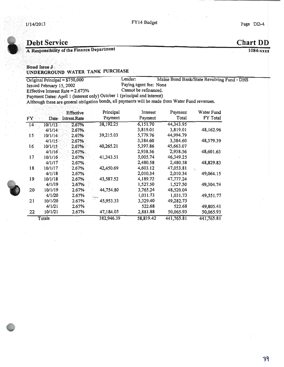ID

### 114/2013 **FY14** Budget Page DD-4

### Debt Service Chart DD

A Responsibility of the Finance Department 1084-xxxx

### Bond Issue J UNDERGROUND WATER TANK PURCHASE

Original Principal = \$750,000 Lender: Maine Bond Bank/State Revolving Fund - DHS Issued February 15, 2002<br>
Effective Interest Rate = 2.673% Cannot be refinanced. Effective Interest Rate =  $2.673%$ 

Payment Dates: April 1 (interest only) October 1 (principal and interest)

Although these are general obligation bonds, all payments will be made from Water Fund revenues.

| FY              | Date:   | Effective<br>Intrest.Rate | Principal<br>Payment | Interest<br>Payment | Payment<br>Total | Water Fund<br>FY Total |
|-----------------|---------|---------------------------|----------------------|---------------------|------------------|------------------------|
| 14 <sup>°</sup> | 10/1/13 | 2.67%                     | 38,192.25            | 6,151.70            | 44,343.95        |                        |
|                 | 4/1/14  | 2.67%                     |                      | 3,819.01            | 3,819.01         | 48,162.96              |
| 15              | 10/1/14 | 2.67%                     | 39,215.03            | 5,779.76            | 44,994.79        |                        |
|                 | 4/1/15  | 2.67%                     |                      | 3,384.60            | 3,384.60         | 48,379.39              |
| 16              | 10/1/15 | 2.67%                     | 40,265.21            | 5,397.86            | 45,663.07        |                        |
|                 | 4/1/16  | 2.67%                     |                      | 2,938.56            | 2,938.56         | 48,601.63              |
| 17              | 10/1/16 | 2.67%                     | 41,343.51            | 5,005.74            | 46,349.25        |                        |
|                 | 4/1/17  | $2.67\%$                  |                      | 2,480.58            | 2,480.58         | 48,829.83              |
| 18              | 10/1/17 | 2.67%                     | 42,450.69            | 4,603.12            | 47,053.81        |                        |
|                 | 4/1/18  | 2.67%                     |                      | 2,010.34            | 2,010.34         | 49,064.15              |
| 19              | 10/1/18 | 2.67%                     | 43,587.52            | 4,189.72            | 47,777.24        |                        |
|                 | 4/1/19  | 2.67%                     |                      | 1,527.50            | 1,527.50         | 49,304.74              |
| 20              | 10/1/19 | 2.67%                     | 44,754.80            | 3,765.24            | 48,520.04        |                        |
|                 | 4/1/20  | 2.67%                     |                      | 1,031.73            | 1,031.73         | 49,551.77              |
| 21              | 10/1/20 | 2.67%                     | 45,953.33            | 3,329.40            | 49,282.73        |                        |
|                 | 4/1/21  | 2.67%                     |                      | 522.68              | 522.68           | 49,805.41              |
| 22              | 10/1/21 | 2.67%                     | 47,184.05            | 2,881.88            | 50,065.93        | 50,065.93              |
|                 | Totals  |                           | 382,946.39           | 58,819.42           | 441,765.81       | 441,765.81             |

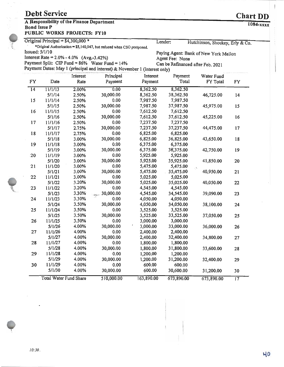| <b>Debt Service</b>                                                                                                                     | <b>Chart DD</b> |
|-----------------------------------------------------------------------------------------------------------------------------------------|-----------------|
| $\mathbf{a}$ , $\mathbf{a}$ , $\mathbf{a}$ , $\mathbf{a}$ , $\mathbf{a}$ , $\mathbf{a}$ , $\mathbf{a}$ , $\mathbf{a}$<br>$\overline{1}$ |                 |

### A Responsibility of the Finance Department Bond Issue P 1084-xxxx PUBLIC WORKS PROJECTS: FY10

| Original Principal = $$4,300,000*$ | Lender: | Hutchinson, Shockey, Erly & Co. |
|------------------------------------|---------|---------------------------------|

\*Original Authorization = \$5,140, 947, but reduced when CSO postponed. Issued:  $5/1/10$ 

Interest Rate =  $2.0\% - 4.0\%$  (Avg.-3.42%) Agent Fee: None<br>
Payment Split: CIP Fund =  $86\%$  Water Fund =  $14\%$  Can be Refinanced after Feb. 2021

Payment Split: CIP Fund =  $86\%$  Water Fund =  $14\%$ Payment Dates: May 1 (principal and interest) & November 1 (interest only)

Paying Agent: Bank of New York Mellon<br>Agent Fee: None

| FY              | Date                          | Interest<br>Rate | Principal<br>Payment | Interest<br>Payment | Payment<br>Total | Water Fund<br>FY Total | FY              |
|-----------------|-------------------------------|------------------|----------------------|---------------------|------------------|------------------------|-----------------|
| $\overline{14}$ | 11/1/13                       | 2.00%            | 0.00                 | 8,362.50            | 8,362.50         |                        |                 |
|                 | 5/1/14                        | 2.50%            | 30,000.00            | 8,362.50            | 38,362.50        | 46,725.00              | 14              |
| 15              | 11/1/14                       | 2.50%            | 0.00                 | 7,987.50            | 7,987.50         |                        |                 |
|                 | 5/1/15                        | 2.50%            | 30,000.00            | 7,987.50            | 37,987.50        | 45,975.00              | 15              |
| 16              | 11/1/15                       | 2.50%            | 0.00                 | 7,612.50            | 7,612.50         |                        |                 |
|                 | 5/1/16                        | 2.50%            | 30,000.00            | 7,612.50            | 37,612.50        | 45,225.00              | 16              |
| 17              | 11/1/16                       | 2.50%            | 0.00                 | 7,237.50            | 7,237.50         |                        |                 |
|                 | 5/1/17                        | 2.75%            | 30,000.00            | 7,237.50            | 37,237.50        | 44,475.00              | 17              |
| 18              | 11/1/17                       | 2.75%            | 0.00                 | 6,825.00            | 6,825.00         |                        |                 |
|                 | 5/1/18                        | 3.00%            | 30,000.00            | 6,825.00            | 36,825.00        | 43,650.00              | 18              |
| 19              | 11/1/18                       | 3.00%            | 0.00                 | 6,375.00            | 6,375.00         |                        |                 |
|                 | 5/1/19                        | 3.00%            | 30,000.00            | 6,375.00            | 36,375.00        | 42,750.00              | 19              |
| 20              | 11/1/19                       | 3.00%            | 0.00                 | 5,925.00            | 5,925.00         |                        |                 |
|                 | 5/1/20                        | 3.00%            | 30,000.00            | 5,925.00            | 35,925.00        | 41,850.00              | 20              |
| 21              | 11/1/20                       | 3.00%            | 0.00                 | 5,475.00            | 5,475.00         | $\mathcal{O}$          |                 |
|                 | 5/1/21                        | 3.00%            | 30,000.00            | 5,475.00            | 35,475.00        | 40,950.00              | 21              |
| 22              | 11/1/21                       | 3.00%            | 0.00                 | 5,025.00            | 5,025.00         |                        |                 |
|                 | 5/1/22                        | 3.20%            | 30,000.00            | 5,025.00            | 35,025.00        | 40,050.00              | 22              |
| 23              | 11/1/22                       | 3.20%            | 0.00                 | 4,545.00            | 4,545.00         |                        |                 |
|                 | 5/1/23                        | 3.30%            | 30,000.00<br>days -- | 4,545.00            | 34,545.00        | 39,090.00              | 23              |
| 24              | 11/1/23                       | 3.30%            | 0.00                 | 4,050.00            | 4,050.00         |                        |                 |
|                 | 5/1/24                        | 3.50%            | 30,000.00            | 4,050.00            | 34,050.00        | 38,100.00              | 24              |
| 25              | 11/1/24                       | 3.50%            | 0.00                 | 3,525.00            | 3,525.00         |                        |                 |
|                 | 5/1/25                        | 3.50%            | 30,000.00            | 3,525.00            | 33,525.00        | 37,050.00              | 25              |
| 26              | 11/1/25                       | 3.50%            | 0.00                 | 3,000.00            | 3,000.00         |                        |                 |
|                 | 5/1/26                        | 4.00%            | 30,000.00            | 3,000.00            | 33,000.00        | 36,000.00              | 26              |
| 27              | 11/1/26                       | 4.00%            | 0.00                 | 2,400.00            | 2,400.00         |                        |                 |
|                 | 5/1/27                        | 4.00%            | 30,000.00            | 2,400.00            | 32,400.00        | 34,800.00              | 27              |
| 28              | 11/1/27                       | 4.00%            | 0.00                 | 1,800.00            | 1,800.00         |                        |                 |
|                 | 5/1/28                        | 4.00%            | 30,000.00            | 1,800.00            | 31,800.00        | 33,600.00              | 28              |
| $29 -$          | 11/1/28                       | 4.00%            | 0.00                 | 1,200.00            | 1,200.00         |                        |                 |
|                 | 5/1/29                        | 4.00%            | 30,000.00            | 1,200.00            | 31,200.00        | 32,400.00              | 29              |
| 30              | 11/1/29                       | 4.00%            | 0.00                 | 600.00              | 600.00           |                        |                 |
|                 | 5/1/30                        | 4.00%            | 30,000.00            | 600.00              | 30,600.00        | 31,200.00              | 30              |
|                 | <b>Total Water Fund Share</b> |                  | 510,000.00           | 163,890.00          | 673,890.00       | 673,890.00             | $\overline{17}$ |



ci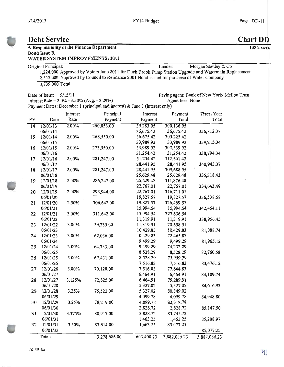### Debt Service Chart DD

### A Responsibility of the Finance Department<br>Bond Issue R<br> $\frac{1084 - xxx}{x}$

### WATER SYSTEM IMPROVEMENTS: 2011

Original Principal: Lender: Morgan Stanley& Co 1, 224,000 Approved by Voters June 2011 for Duck Brook Pump Station Upgrade and Watermain Replacement 2,515, 000 Approved by Council to Refinance 2001 Bond issued for purchase of Water Company 3,739,000 Total

Interest Rate =  $2.0\% - 3.50\%$  (Avg. - 2.29%)

Date of Issue:  $9/15/11$ <br>Date of Issue:  $9/15/11$ <br>Paying agent: Bank of New York/ Mellon Trust<br>Agent fee: None<br>Agent fee: None

Payment Dates: December 1 (principal and interest) & June 1 (interest only)

|                 |          | Interest | Principal    | Interest   | Payment      | Fiscal Year  |
|-----------------|----------|----------|--------------|------------|--------------|--------------|
| <b>FY</b>       | Date     | Rate     | Payment      | Payment    | Total        | Total        |
| $\overline{14}$ | 12/01/13 | 2.00%    | 260,853.00   | 39,283.95  | 300,136.95   |              |
|                 | 06/01/14 |          |              | 36,675.42  | 36,675.42    | 336,812.37   |
| 15              | 12/01/14 | 2.00%    | 268,550.00   | 36,675.42  | 305,225.42   |              |
|                 | 06/01/15 |          |              | 33,989.92  | 33,989.92    | 339,215.34   |
| 16              | 12/01/15 | 2.00%    | 273,550.00   | 33,989.92  | 307,539.92   |              |
|                 | 06/01/16 |          |              | 31,254.42  | 31,254.42    | 338,794.34   |
| 17              | 12/01/16 | 2.00%    | 281,247.00   | 31,254.42  | 312,501.42   |              |
|                 | 06/01/17 |          |              | 28,441.95  | 28,441.95    | 340,943.37   |
| 18              | 12/01/17 | 2.00%    | 281,247.00   | 28,441.95  | 309,688.95   |              |
|                 | 06/01/18 |          |              | 25,629.48  | 25,629.48    | 335,318.43   |
| 19              | 12/01/18 | 2.00%    | 286,247.00   | 25,629.48  | 311,876.48   |              |
|                 | 06/01/19 |          |              | 22,767.01  | 22,767.01    | 334,643.49   |
| 20              | 12/01/19 | 2.00%    | 293,944.00   | 22,767.01  | 316,711.01   |              |
|                 | 06/01/20 |          |              | 19,827.57  | 19,827.57    | 336,538.58   |
| 21              | 12/01/20 | 2.50%    | 306,642.00   | 19,827.57  | 326,469.57   |              |
|                 | 06/01/21 |          |              | 15,994.54  | 15,994.54    | 342,464.11   |
| 22              | 12/01/21 | 3.00%    | 311,642.00   | 15,994.54  | 327,636.54   |              |
|                 | 06/01/22 |          |              | 11,319.91  | 11,319.91    | 338,956.45   |
| 23              | 12/01/22 | 3.00%    | 59,339.00    | 11,319.91  | 70,658.91    |              |
|                 | 06/01/23 |          |              | 10,429.83  | 10,429.83    | 81,088.74    |
| 24              | 12/01/23 | 3.00%    | 62,036.00    | 10,429.83  | 72,465.83    |              |
|                 | 06/01/24 |          |              | 9,499.29   | 9,499.29     | 81,965.12    |
| 25              | 12/01/24 | 3.00%    | 64,733.00    | 9,499.29   | 74,232.29    |              |
|                 | 06/01/25 |          |              | 8,528.29   | 8,528.29     | 82,760.58    |
| 26              | 12/01/25 | 3.00%    | 67,431.00    | 8,528.29   | 75,959.29    |              |
|                 | 06/01/26 |          |              | 7,516.83   | 7,516.83     | 83,476.12    |
| 27              | 12/01/26 | 3.00%    | 70,128.00    | 7,516.83   | 77,644.83    |              |
|                 | 06/01/27 |          |              | 6,464.91   | 6,464.91     | 84,109.74    |
| 28              | 12/01/27 | 3.125%   | 72,825.00    | 6,464.91   | 79,289.91    |              |
|                 | 06/01/28 |          |              | 5,327.02   | 5,327.02     | 84,616.93    |
| 29              | 12/01/28 | 3.25%    | 75,522.00    | 5,327.02   | 80,849.02    |              |
|                 | 06/01/29 |          |              | 4,099.78   | 4,099.78     | 84,948.80    |
| 30              | 12/01/29 | 3.25%    | 78,219.00    | 4,099.78   | 82,318.78    |              |
|                 | 06/01/30 |          |              | 2,828.72   | 2,828.72     | 85,147.50    |
| 31              | 12/01/30 | 3.375%   | 80,917.00    | 2,828.72   | 83,745.72    |              |
|                 | 06/01/31 |          |              | 1,463.25   | 1,463.25     | 85,208.97    |
| 32              | 12/01/31 | 3.50%    | 83,614.00    | 1,463.25   | 85,077.25    |              |
|                 | 06/01/32 |          |              |            |              | 85,077.25    |
|                 | Totals   |          | 3,278,686.00 | 603,400.23 | 3,882,086.23 | 3,882,086.23 |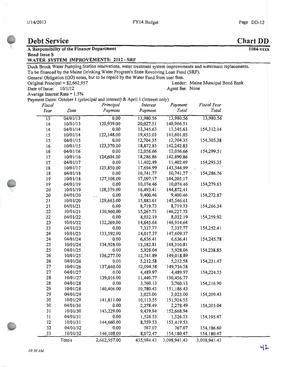### Debt Service Chart DD A Responsibility of the Finance Department 1084-xxxx<br>Bond Issue S WATER SYSTEM IMPROVEMENTS: 2012- SRF Duck Brook Water Pumping Station renovations, water treatment system improvements and watermain replacements. To be financed by the Maine Drinking Water Program's State Revolving Loan Fund( SRF). General Obligation (GO) notes, but to be repaid by the Water Fund from user fees.<br>Original Principal = \$2.662.957 Original Principal =  $$2, 662, 957$ <br>Date of Issue:  $10/1/12$ Agent fee: None Average Interest Rate =  $1.5%$ Payment Dates: October 1 (principal and interest) & April 1 (interest only)<br>Fiscal Principal Interest Payment Fiscal Year<br>Payment Payment Total Total Year Date Payment Payment Total Total  $\overline{13,980.56}$   $\overline{13,980.56}$   $\overline{13,980.56}$   $\overline{13,980.56}$   $\overline{13,980.56}$ 14 10/01/13 120,939.00 20,027.51 140,966.51<br>14 04/01/14 0.00 13,345.63 13,345.63 14 04/01/14 0.00 13,345.63 13,345.63 154,312.14 15 10/01/14 122,148.00 19,453.03 141,601.03<br>15 04/01/15 0.00 12,704.35 12,704.35 15 04/01/15 0.00 12, 704.35 12, 704.35 154,305.38 16 10/01/15 123,370.00 18,872.85 142,242.85<br>16 04/01/16 0.00 12,056.66 12,056.66 16 04/01/16 0.00 12,056.66 12,056.66 154,299.51 17 10/01/16 124,604.00 18,286.86 142,890.86<br>17 04/01/17 0.00 11,402.49 11,402.49 17 04/01/17 0.00 11,402.49 11,402.49 154,293.35 18 10/01/17 125,850.00 17,694.99 143,544.99<br>18 04/01/18 0.00 10,741.77 10,741.77 18 04/01/18 0.00 10,741.77 10,741.77 154,286.76 19 10/01/18 127,108.00 17,097.17 144,205.17<br>19 04/01/19 0.00 10,074.46 10,074.46 19 04/01/19 0.00 10,074.46 10,074.46 154,279.63 20 10/01/19 128,379.00 16,493.41 144,872.41<br>20 04/01/20 ... 0.00 9,400.46 9,400.46 20 04/01/20 0.00 9,400.46 9,400.46 154,272.87 21 10/01/20 129,663.00 15,883.61 145,546.61 21 04/01/21 0.00 8,719.73 8,719.73 154,266.34 22 10/01/21 130,960.00 15,267.73 146,227.73 22 04/01/22 0.00 8,032.19 8,032.19 154,259.92 23 10/01/22 132,269.00 14,645.64 146,914.64 23 04/01/23 0.00 7,337.77 7,337.77 154,252.4 24 10/01/23 133, 592.00 14, 017.37 147, 609.37 24 04/01/24 0.00 6,636.41 6,636.41 154,245.78 25 10/01/24 134, 928.00 13, 382.81 148, 310.81 25 04/01/25 0.00 5,928.04 5,928.04 154,238.8 26 10/01/25 136,277.00 12,741.89 149,018.89 26 04/01/26 0.00 5,212.58 5,212.58 154,231.4 27 10/01/26 137,640.00 12,094.58 149,734.5 27 04/01/27 0.00 4,489.97 4,489.97 154,224.5 28 10/01/27 139,016.00 11,440.77 150,456.77<br>28 04/01/28 0.00 3,760.13 3,760.13 28 04/01/28 0.00 3,760.13 3,760.13 154,216.9 29 10/01/28 140,406.00 10,780.43 151,186.43<br>29 04/01/29 3.023.00 3.023.00 29 04/01/29 3,023.00 3,023.00 154,209.4 30 10/01/29 141,811.00 10,113.55 151,924.55 30 04/01/30 0.00 2,278.49 2,278.49 154,203.0 31 10/01/30 143, 229.00 9, 439.94 152, 668.94 31 04/01/31 0.00 1,526.53 1,526.53 154,195.4 32 10/01/31 144, 660.00 8, 759.53 153, 419.53 32 04/01/32 0.00 767.07 767.07 154,186.6 33 10/01/32 146, 108.00 8, 072.47 154, 180.47 154, 180.4 Totals 2, 662, 957.00 435, 984. 43 3, 098, 941. 43 3, 098, 941. 43